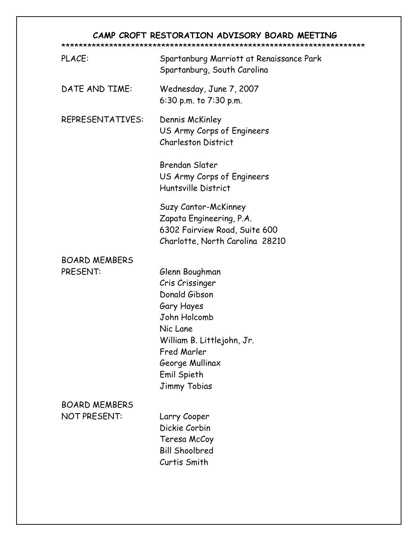## CAMP CROFT RESTORATION ADVISORY BOARD MEETING

| PLACE:                                      | Spartanburg Marriott at Renaissance Park<br>Spartanburg, South Carolina                                                                                                                     |
|---------------------------------------------|---------------------------------------------------------------------------------------------------------------------------------------------------------------------------------------------|
| DATE AND TIME:                              | Wednesday, June 7, 2007<br>6:30 p.m. to 7:30 p.m.                                                                                                                                           |
| REPRESENTATIVES:                            | Dennis McKinley<br>US Army Corps of Engineers<br><b>Charleston District</b>                                                                                                                 |
|                                             | <b>Brendan Slater</b><br>US Army Corps of Engineers<br>Huntsville District                                                                                                                  |
|                                             | Suzy Cantor-McKinney<br>Zapata Engineering, P.A.<br>6302 Fairview Road, Suite 600<br>Charlotte, North Carolina 28210                                                                        |
| <b>BOARD MEMBERS</b><br>PRESENT:            | Glenn Boughman<br>Cris Crissinger<br>Donald Gibson<br>Gary Hayes<br>John Holcomb<br>Nic Lane<br>William B. Littlejohn, Jr.<br>Fred Marler<br>George Mullinax<br>Emil Spieth<br>Jimmy Tobias |
| <b>BOARD MEMBERS</b><br><b>NOT PRESENT:</b> | Larry Cooper<br>Dickie Corbin<br>Teresa McCoy<br><b>Bill Shoolbred</b><br>Curtis Smith                                                                                                      |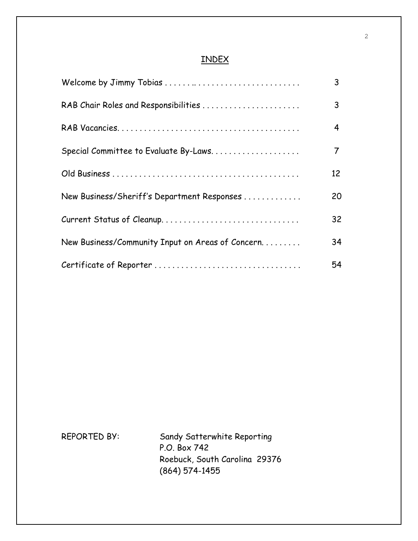## INDEX

| Welcome by Jimmy Tobias                          | 3  |
|--------------------------------------------------|----|
| RAB Chair Roles and Responsibilities             | 3  |
|                                                  | 4  |
| Special Committee to Evaluate By-Laws            | 7  |
|                                                  | 12 |
| New Business/Sheriff's Department Responses      | 20 |
| Current Status of Cleanup                        | 32 |
| New Business/Community Input on Areas of Concern | 34 |
|                                                  | 54 |

REPORTED BY: Sandy Satterwhite Reporting P.O. Box 742 Roebuck, South Carolina 29376 (864) 574-1455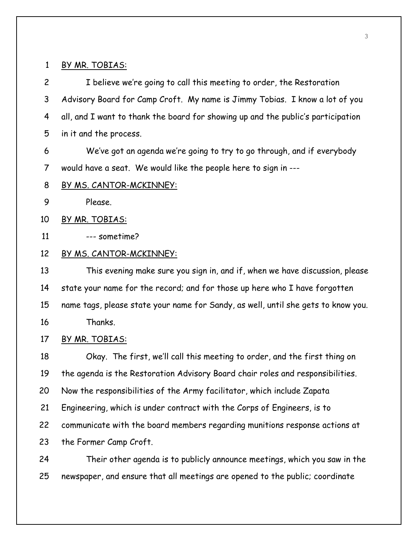#### 1 BY MR. TOBIAS:

2 I believe we're going to call this meeting to order, the Restoration 3 Advisory Board for Camp Croft. My name is Jimmy Tobias. I know a lot of you 4 all, and I want to thank the board for showing up and the public's participation 5 in it and the process.

6 We've got an agenda we're going to try to go through, and if everybody 7 would have a seat. We would like the people here to sign in ---

- 8 BY MS. CANTOR-MCKINNEY:
- 9 Please.
- 10 BY MR. TOBIAS:

11 --- sometime?

#### 12 BY MS. CANTOR-MCKINNEY:

13 This evening make sure you sign in, and if, when we have discussion, please 14 state your name for the record; and for those up here who I have forgotten 15 name tags, please state your name for Sandy, as well, until she gets to know you. 16 Thanks.

## 17 BY MR. TOBIAS:

18 Okay. The first, we'll call this meeting to order, and the first thing on 19 the agenda is the Restoration Advisory Board chair roles and responsibilities. 20 Now the responsibilities of the Army facilitator, which include Zapata 21 Engineering, which is under contract with the Corps of Engineers, is to 22 communicate with the board members regarding munitions response actions at 23 the Former Camp Croft. 24 Their other agenda is to publicly announce meetings, which you saw in the 25 newspaper, and ensure that all meetings are opened to the public; coordinate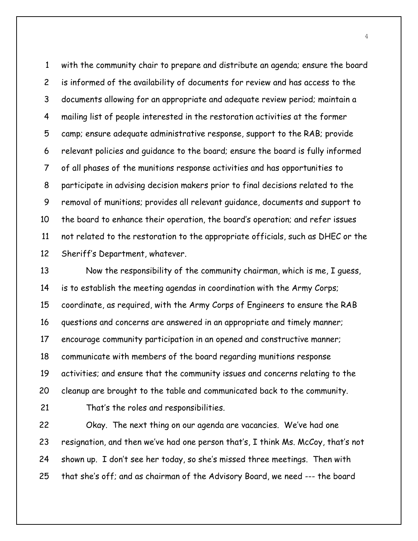1 with the community chair to prepare and distribute an agenda; ensure the board 2 is informed of the availability of documents for review and has access to the 3 documents allowing for an appropriate and adequate review period; maintain a 4 mailing list of people interested in the restoration activities at the former 5 camp; ensure adequate administrative response, support to the RAB; provide 6 relevant policies and guidance to the board; ensure the board is fully informed 7 of all phases of the munitions response activities and has opportunities to 8 participate in advising decision makers prior to final decisions related to the 9 removal of munitions; provides all relevant guidance, documents and support to 10 the board to enhance their operation, the board's operation; and refer issues 11 not related to the restoration to the appropriate officials, such as DHEC or the 12 Sheriff's Department, whatever.

13 Now the responsibility of the community chairman, which is me, I guess, 14 is to establish the meeting agendas in coordination with the Army Corps; 15 coordinate, as required, with the Army Corps of Engineers to ensure the RAB 16 questions and concerns are answered in an appropriate and timely manner; 17 encourage community participation in an opened and constructive manner; 18 communicate with members of the board regarding munitions response 19 activities; and ensure that the community issues and concerns relating to the 20 cleanup are brought to the table and communicated back to the community.

21 That's the roles and responsibilities.

22 Okay. The next thing on our agenda are vacancies. We've had one 23 resignation, and then we've had one person that's, I think Ms. McCoy, that's not 24 shown up. I don't see her today, so she's missed three meetings. Then with 25 that she's off; and as chairman of the Advisory Board, we need --- the board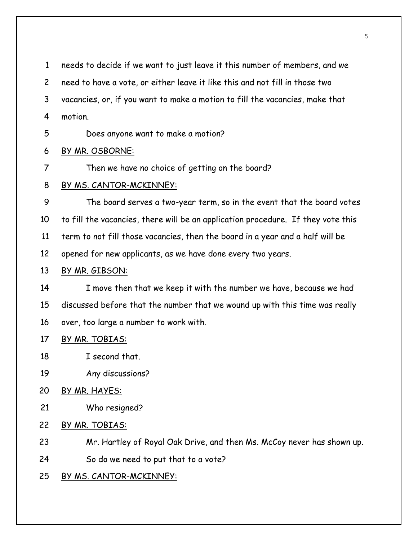1 needs to decide if we want to just leave it this number of members, and we

2 need to have a vote, or either leave it like this and not fill in those two

3 vacancies, or, if you want to make a motion to fill the vacancies, make that

- 4 motion.
- 5 Does anyone want to make a motion?

## 6 BY MR. OSBORNE:

7 Then we have no choice of getting on the board?

## 8 BY MS. CANTOR-MCKINNEY:

9 The board serves a two-year term, so in the event that the board votes 10 to fill the vacancies, there will be an application procedure. If they vote this 11 term to not fill those vacancies, then the board in a year and a half will be 12 opened for new applicants, as we have done every two years.

## 13 BY MR. GIBSON:

14 I move then that we keep it with the number we have, because we had 15 discussed before that the number that we wound up with this time was really 16 over, too large a number to work with.

## 17 BY MR. TOBIAS:

- 18 I second that.
- 19 Any discussions?
- 20 BY MR. HAYES:
- 21 Who resigned?
- 22 BY MR. TOBIAS:
- 23 Mr. Hartley of Royal Oak Drive, and then Ms. McCoy never has shown up.
- 24 So do we need to put that to a vote?

## 25 BY MS. CANTOR-MCKINNEY: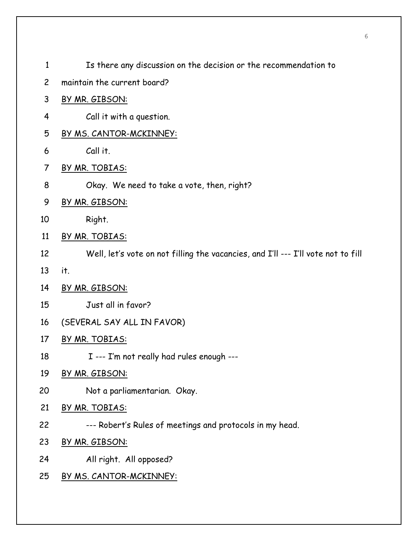| $\mathbf{1}$   | Is there any discussion on the decision or the recommendation to                  |
|----------------|-----------------------------------------------------------------------------------|
| $\overline{c}$ | maintain the current board?                                                       |
| 3              | BY MR. GIBSON:                                                                    |
| 4              | Call it with a question.                                                          |
| 5              | BY MS. CANTOR-MCKINNEY:                                                           |
| 6              | Call it.                                                                          |
| 7              | <u>BY MR. TOBIAS:</u>                                                             |
| 8              | Okay. We need to take a vote, then, right?                                        |
| 9              | BY MR. GIBSON:                                                                    |
| 10             | Right.                                                                            |
| 11             | BY MR. TOBIAS:                                                                    |
| 12             | Well, let's vote on not filling the vacancies, and I'll --- I'll vote not to fill |
| 13             | it.                                                                               |
| 14             | BY MR. GIBSON:                                                                    |
| 15             | Just all in favor?                                                                |
| 16             | (SEVERAL SAY ALL IN FAVOR)                                                        |
| 17             | BY MR. TOBIAS:                                                                    |
| 18             | I --- I'm not really had rules enough ---                                         |
| 19             | BY MR. GIBSON:                                                                    |
| 20             | Not a parliamentarian. Okay.                                                      |
| 21             | BY MR. TOBIAS:                                                                    |
| 22             | --- Robert's Rules of meetings and protocols in my head.                          |
| 23             | BY MR. GIBSON:                                                                    |
| 24             | All right. All opposed?                                                           |
| 25             | <u>BY MS. CANTOR-MCKINNEY:</u>                                                    |
|                |                                                                                   |

6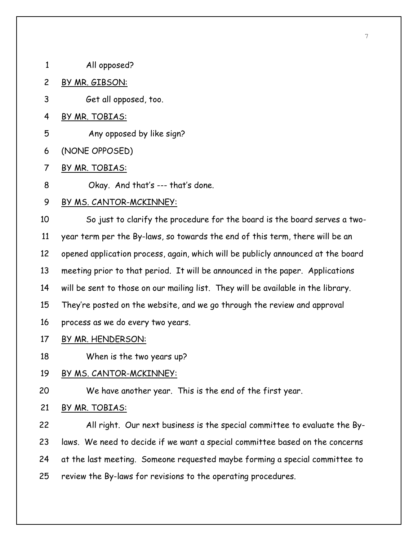- 1 All opposed?
- 2 BY MR. GIBSON:
- 3 Get all opposed, too.
- 4 BY MR. TOBIAS:
- 5 Any opposed by like sign?
- 6 (NONE OPPOSED)
- 7 BY MR. TOBIAS:
- 8 Okay. And that's --- that's done.

#### 9 BY MS. CANTOR-MCKINNEY:

10 So just to clarify the procedure for the board is the board serves a two-11 year term per the By-laws, so towards the end of this term, there will be an 12 opened application process, again, which will be publicly announced at the board 13 meeting prior to that period. It will be announced in the paper. Applications 14 will be sent to those on our mailing list. They will be available in the library. 15 They're posted on the website, and we go through the review and approval 16 process as we do every two years.

## 17 BY MR. HENDERSON:

18 When is the two years up?

### 19 BY MS. CANTOR-MCKINNEY:

20 We have another year. This is the end of the first year.

### 21 BY MR. TOBIAS:

22 All right. Our next business is the special committee to evaluate the By-23 laws. We need to decide if we want a special committee based on the concerns 24 at the last meeting. Someone requested maybe forming a special committee to 25 review the By-laws for revisions to the operating procedures.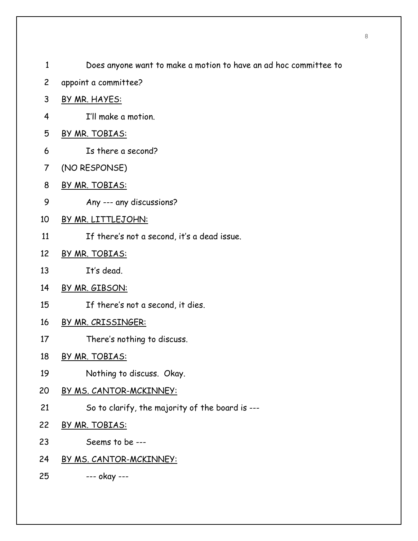- 1 Does anyone want to make a motion to have an ad hoc committee to
- 2 appoint a committee?
- 3 BY MR. HAYES:
- 4 I'll make a motion.
- 5 BY MR. TOBIAS:
- 6 Is there a second?
- 7 (NO RESPONSE)
- 8 BY MR. TOBIAS:
- 9 Any --- any discussions?
- 10 BY MR. LITTLEJOHN:
- 11 If there's not a second, it's a dead issue.
- 12 BY MR. TOBIAS:
- 13 It's dead.
- 14 BY MR. GIBSON:
- 15 If there's not a second, it dies.
- 16 BY MR. CRISSINGER:
- 17 There's nothing to discuss.
- 18 BY MR. TOBIAS:
- 19 Nothing to discuss. Okay.
- 20 BY MS. CANTOR-MCKINNEY:
- 21 So to clarify, the majority of the board is ---
- 22 BY MR. TOBIAS:
- 23 Seems to be ---
- 24 BY MS. CANTOR-MCKINNEY:
- 25 --- okay ---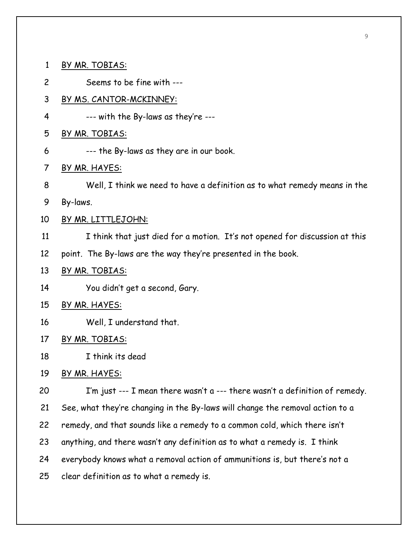1 BY MR. TOBIAS: 2 Seems to be fine with --- 3 BY MS. CANTOR-MCKINNEY: 4 --- with the By-laws as they're --- 5 BY MR. TOBIAS: 6 --- the By-laws as they are in our book. 7 BY MR. HAYES: 8 Well, I think we need to have a definition as to what remedy means in the 9 By-laws. 10 BY MR. LITTLEJOHN: 11 I think that just died for a motion. It's not opened for discussion at this 12 point. The By-laws are the way they're presented in the book. 13 BY MR. TOBIAS: 14 You didn't get a second, Gary. 15 BY MR. HAYES: 16 Well, I understand that. 17 BY MR. TOBIAS: 18 I think its dead 19 BY MR. HAYES: 20 I'm just --- I mean there wasn't a --- there wasn't a definition of remedy. 21 See, what they're changing in the By-laws will change the removal action to a 22 remedy, and that sounds like a remedy to a common cold, which there isn't 23 anything, and there wasn't any definition as to what a remedy is. I think 24 everybody knows what a removal action of ammunitions is, but there's not a 25 clear definition as to what a remedy is.

9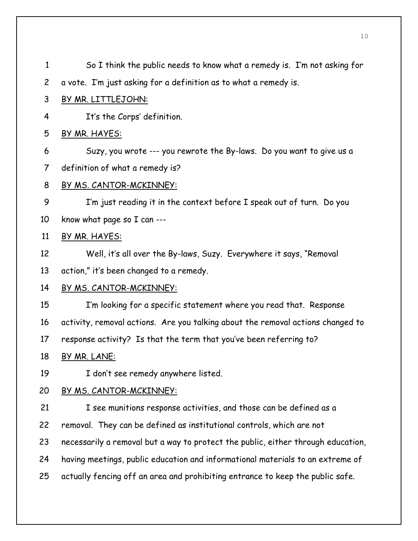| $\mathbf{1}$   | So I think the public needs to know what a remedy is. I'm not asking for         |
|----------------|----------------------------------------------------------------------------------|
| $\overline{c}$ | a vote. I'm just asking for a definition as to what a remedy is.                 |
| 3              | BY MR. LITTLEJOHN:                                                               |
| 4              | It's the Corps' definition.                                                      |
| 5              | BY MR. HAYES:                                                                    |
| 6              | Suzy, you wrote --- you rewrote the By-laws. Do you want to give us a            |
| $\overline{7}$ | definition of what a remedy is?                                                  |
| 8              | BY MS. CANTOR-MCKINNEY:                                                          |
| 9              | I'm just reading it in the context before I speak out of turn. Do you            |
| 10             | know what page so I can ---                                                      |
| 11             | BY MR. HAYES:                                                                    |
| 12             | Well, it's all over the By-laws, Suzy. Everywhere it says, "Removal              |
| 13             | action," it's been changed to a remedy.                                          |
| 14             | <u>BY MS. CANTOR-MCKINNEY:</u>                                                   |
| 15             | I'm looking for a specific statement where you read that. Response               |
| 16             | activity, removal actions. Are you talking about the removal actions changed to  |
| 17             | response activity? Is that the term that you've been referring to?               |
| 18             | BY MR. LANE:                                                                     |
| 19             | I don't see remedy anywhere listed.                                              |
| 20             | BY MS. CANTOR-MCKINNEY:                                                          |
| 21             | I see munitions response activities, and those can be defined as a               |
| 22             | removal. They can be defined as institutional controls, which are not            |
| 23             | necessarily a removal but a way to protect the public, either through education, |
| 24             | having meetings, public education and informational materials to an extreme of   |
| 25             | actually fencing off an area and prohibiting entrance to keep the public safe.   |
|                |                                                                                  |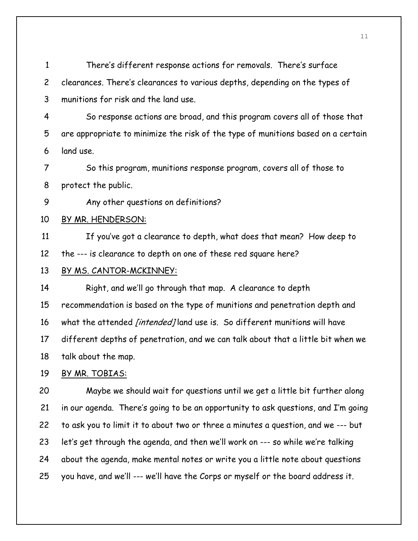1 There's different response actions for removals. There's surface 2 clearances. There's clearances to various depths, depending on the types of 3 munitions for risk and the land use.

4 So response actions are broad, and this program covers all of those that 5 are appropriate to minimize the risk of the type of munitions based on a certain 6 land use.

7 So this program, munitions response program, covers all of those to 8 protect the public.

9 Any other questions on definitions?

### 10 BY MR. HENDERSON:

11 If you've got a clearance to depth, what does that mean? How deep to 12 the --- is clearance to depth on one of these red square here?

### 13 BY MS. CANTOR-MCKINNEY:

14 Right, and we'll go through that map. A clearance to depth 15 recommendation is based on the type of munitions and penetration depth and 16 what the attended *[intended]* land use is. So different munitions will have 17 different depths of penetration, and we can talk about that a little bit when we 18 talk about the map.

### 19 BY MR. TOBIAS:

20 Maybe we should wait for questions until we get a little bit further along 21 in our agenda. There's going to be an opportunity to ask questions, and I'm going 22 to ask you to limit it to about two or three a minutes a question, and we --- but 23 let's get through the agenda, and then we'll work on --- so while we're talking 24 about the agenda, make mental notes or write you a little note about questions 25 you have, and we'll --- we'll have the Corps or myself or the board address it.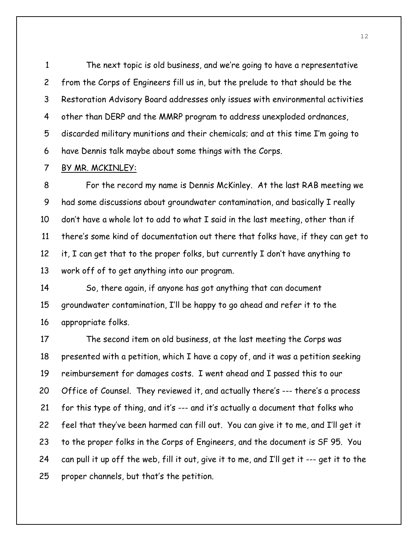1 The next topic is old business, and we're going to have a representative 2 from the Corps of Engineers fill us in, but the prelude to that should be the 3 Restoration Advisory Board addresses only issues with environmental activities 4 other than DERP and the MMRP program to address unexploded ordnances, 5 discarded military munitions and their chemicals; and at this time I'm going to 6 have Dennis talk maybe about some things with the Corps.

#### 7 BY MR. MCKINLEY:

8 For the record my name is Dennis McKinley. At the last RAB meeting we 9 had some discussions about groundwater contamination, and basically I really 10 don't have a whole lot to add to what I said in the last meeting, other than if 11 there's some kind of documentation out there that folks have, if they can get to 12 it, I can get that to the proper folks, but currently I don't have anything to 13 work off of to get anything into our program.

14 So, there again, if anyone has got anything that can document 15 groundwater contamination, I'll be happy to go ahead and refer it to the 16 appropriate folks.

17 The second item on old business, at the last meeting the Corps was 18 presented with a petition, which I have a copy of, and it was a petition seeking 19 reimbursement for damages costs. I went ahead and I passed this to our 20 Office of Counsel. They reviewed it, and actually there's --- there's a process 21 for this type of thing, and it's --- and it's actually a document that folks who 22 feel that they've been harmed can fill out. You can give it to me, and I'll get it 23 to the proper folks in the Corps of Engineers, and the document is SF 95. You 24 can pull it up off the web, fill it out, give it to me, and I'll get it --- get it to the 25 proper channels, but that's the petition.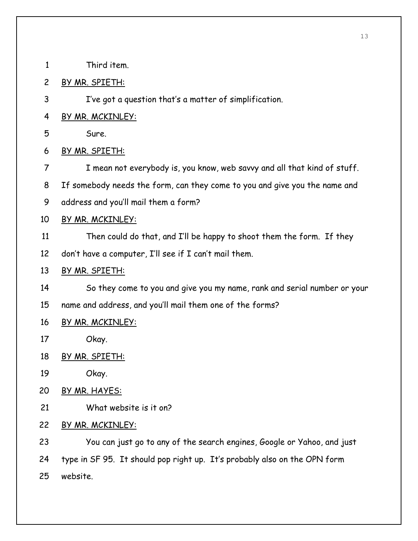- 1 Third item.
- 2 BY MR. SPIETH:
- 3 I've got a question that's a matter of simplification.
- 4 BY MR. MCKINLEY:
- 5 Sure.
- 6 BY MR. SPIETH:
- 7 I mean not everybody is, you know, web savvy and all that kind of stuff.
- 8 If somebody needs the form, can they come to you and give you the name and
- 9 address and you'll mail them a form?
- 10 BY MR. MCKINLEY:
- 11 Then could do that, and I'll be happy to shoot them the form. If they
- 12 don't have a computer, I'll see if I can't mail them.
- 13 BY MR. SPIETH:
- 14 So they come to you and give you my name, rank and serial number or your
- 15 name and address, and you'll mail them one of the forms?

## 16 BY MR. MCKINLEY:

- 17 Okay.
- 18 BY MR. SPIETH:
- 19 Okay.
- 20 BY MR. HAYES:
- 21 What website is it on?
- 22 BY MR. MCKINLEY:

23 You can just go to any of the search engines, Google or Yahoo, and just 24 type in SF 95. It should pop right up. It's probably also on the OPN form 25 website.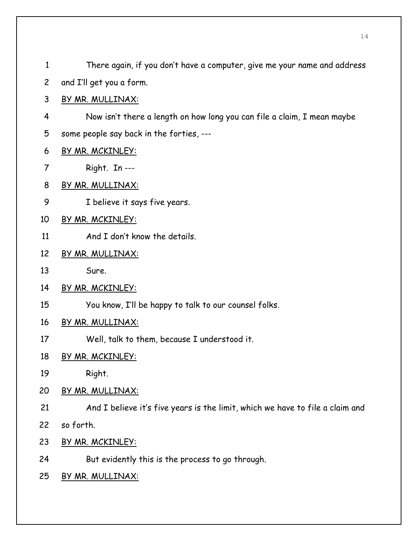| $\mathbf{1}$ | There again, if you don't have a computer, give me your name and address      |
|--------------|-------------------------------------------------------------------------------|
| $\mathsf{2}$ | and I'll get you a form.                                                      |
| 3            | <u>BY MR. MULLINAX:</u>                                                       |
| 4            | Now isn't there a length on how long you can file a claim, I mean maybe       |
| 5            | some people say back in the forties, ---                                      |
| 6            | BY MR. MCKINLEY:                                                              |
| 7            | Right. In ---                                                                 |
| 8            | BY MR. MULLINAX:                                                              |
| 9            | I believe it says five years.                                                 |
| 10           | BY MR. MCKINLEY:                                                              |
| 11           | And I don't know the details.                                                 |
| 12           | <u>BY MR. MULLINAX:</u>                                                       |
| 13           | Sure.                                                                         |
| 14           | BY MR. MCKINLEY:                                                              |
| 15           | You know, I'll be happy to talk to our counsel folks.                         |
| 16           | BY MR. MULLINAX:                                                              |
| 17           | Well, talk to them, because I understood it.                                  |
| 18           | <u>BY MR. MCKINLEY:</u>                                                       |
| 19           | Right.                                                                        |
| 20           | BY MR. MULLINAX:                                                              |
| 21           | And I believe it's five years is the limit, which we have to file a claim and |
| 22           | so forth.                                                                     |
| 23           | BY MR. MCKINLEY:                                                              |
| 24           | But evidently this is the process to go through.                              |
| 25           | <u>BY MR. MULLINAX:</u>                                                       |
|              |                                                                               |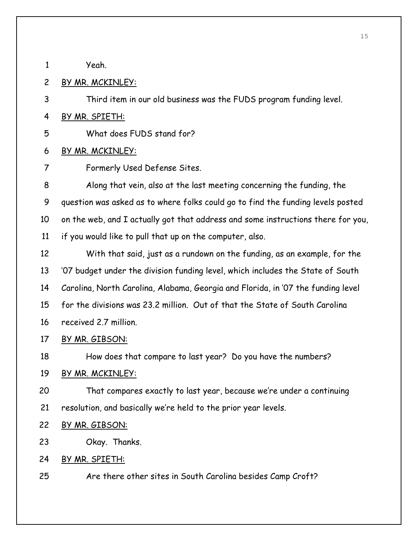1 Yeah.

2 BY MR. MCKINLEY:

3 Third item in our old business was the FUDS program funding level.

4 BY MR. SPIETH:

5 What does FUDS stand for?

- 6 BY MR. MCKINLEY:
- 7 Formerly Used Defense Sites.

8 Along that vein, also at the last meeting concerning the funding, the 9 question was asked as to where folks could go to find the funding levels posted 10 on the web, and I actually got that address and some instructions there for you, 11 if you would like to pull that up on the computer, also.

12 With that said, just as a rundown on the funding, as an example, for the 13 '07 budget under the division funding level, which includes the State of South 14 Carolina, North Carolina, Alabama, Georgia and Florida, in '07 the funding level 15 for the divisions was 23.2 million. Out of that the State of South Carolina 16 received 2.7 million.

17 BY MR. GIBSON:

18 How does that compare to last year? Do you have the numbers?

19 BY MR. MCKINLEY:

20 That compares exactly to last year, because we're under a continuing 21 resolution, and basically we're held to the prior year levels.

- 22 BY MR. GIBSON:
- 23 Okay. Thanks.

## 24 BY MR. SPIETH:

25 Are there other sites in South Carolina besides Camp Croft?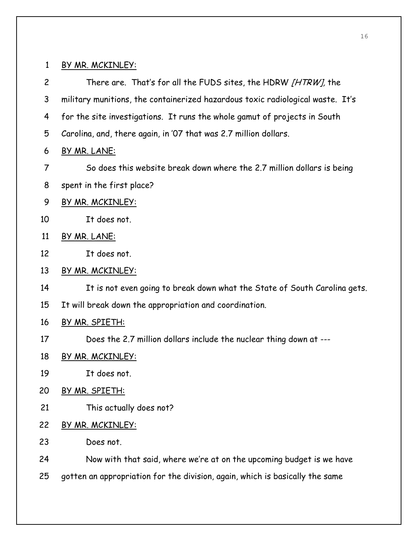1 BY MR. MCKINLEY:

2 There are. That's for all the FUDS sites, the HDRW [HTRW], the 3 military munitions, the containerized hazardous toxic radiological waste. It's 4 for the site investigations. It runs the whole gamut of projects in South 5 Carolina, and, there again, in '07 that was 2.7 million dollars. 6 BY MR. LANE: 7 So does this website break down where the 2.7 million dollars is being 8 spent in the first place? 9 BY MR. MCKINLEY: 10 It does not. 11 BY MR. LANE: 12 It does not. 13 BY MR. MCKINLEY: 14 It is not even going to break down what the State of South Carolina gets. 15 It will break down the appropriation and coordination. 16 BY MR. SPIETH: 17 Does the 2.7 million dollars include the nuclear thing down at --- 18 BY MR. MCKINLEY: 19 It does not. 20 BY MR. SPIETH: 21 This actually does not? 22 BY MR. MCKINLEY: 23 Does not. 24 Now with that said, where we're at on the upcoming budget is we have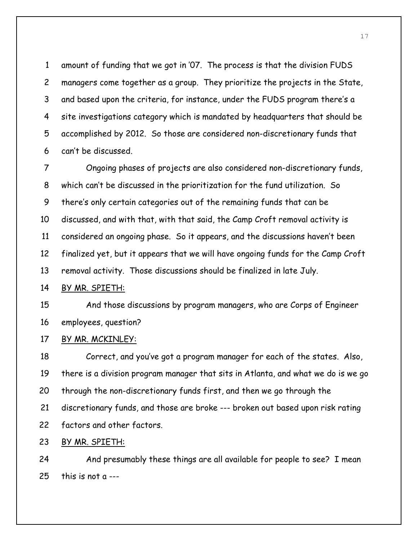1 amount of funding that we got in '07. The process is that the division FUDS 2 managers come together as a group. They prioritize the projects in the State, 3 and based upon the criteria, for instance, under the FUDS program there's a 4 site investigations category which is mandated by headquarters that should be 5 accomplished by 2012. So those are considered non-discretionary funds that 6 can't be discussed.

7 Ongoing phases of projects are also considered non-discretionary funds, 8 which can't be discussed in the prioritization for the fund utilization. So 9 there's only certain categories out of the remaining funds that can be 10 discussed, and with that, with that said, the Camp Croft removal activity is 11 considered an ongoing phase. So it appears, and the discussions haven't been 12 finalized yet, but it appears that we will have ongoing funds for the Camp Croft 13 removal activity. Those discussions should be finalized in late July.

### 14 BY MR. SPIETH:

15 And those discussions by program managers, who are Corps of Engineer 16 employees, question?

## 17 BY MR. MCKINLEY:

18 Correct, and you've got a program manager for each of the states. Also, 19 there is a division program manager that sits in Atlanta, and what we do is we go 20 through the non-discretionary funds first, and then we go through the 21 discretionary funds, and those are broke --- broken out based upon risk rating 22 factors and other factors.

## 23 BY MR. SPIETH:

24 And presumably these things are all available for people to see? I mean 25 this is not a ---

17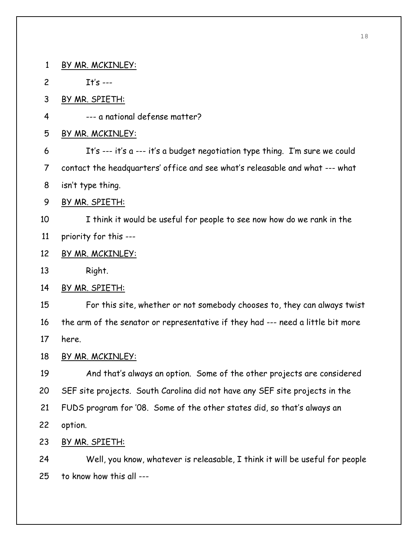1 BY MR. MCKINLEY: 2 It's --- 3 BY MR. SPIETH: 4 --- a national defense matter? 5 BY MR. MCKINLEY: 6 It's --- it's a --- it's a budget negotiation type thing. I'm sure we could 7 contact the headquarters' office and see what's releasable and what --- what 8 isn't type thing. 9 BY MR. SPIETH: 10 I think it would be useful for people to see now how do we rank in the 11 priority for this --- 12 BY MR. MCKINLEY: 13 Right. 14 BY MR. SPIETH: 15 For this site, whether or not somebody chooses to, they can always twist 16 the arm of the senator or representative if they had --- need a little bit more 17 here. 18 BY MR. MCKINLEY: 19 And that's always an option. Some of the other projects are considered 20 SEF site projects. South Carolina did not have any SEF site projects in the 21 FUDS program for '08. Some of the other states did, so that's always an 22 option. 23 BY MR. SPIETH: 24 Well, you know, whatever is releasable, I think it will be useful for people 25 to know how this all ---

18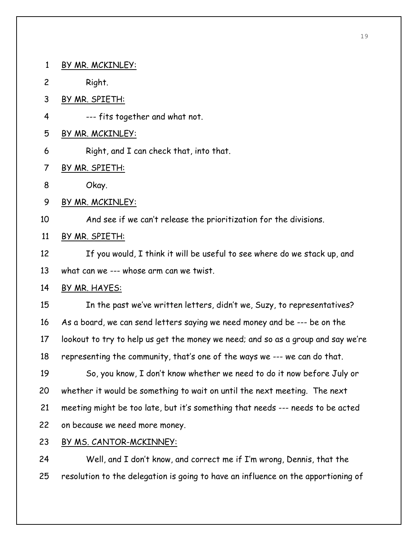1 BY MR. MCKINLEY: 2 Right. 3 BY MR. SPIETH: 4 --- fits together and what not. 5 BY MR. MCKINLEY: 6 Right, and I can check that, into that. 7 BY MR. SPIETH: 8 Okay. 9 BY MR. MCKINLEY: 10 And see if we can't release the prioritization for the divisions. 11 BY MR. SPIETH: 12 If you would, I think it will be useful to see where do we stack up, and 13 what can we --- whose arm can we twist. 14 BY MR. HAYES: 15 In the past we've written letters, didn't we, Suzy, to representatives? 16 As a board, we can send letters saying we need money and be --- be on the 17 lookout to try to help us get the money we need; and so as a group and say we're 18 representing the community, that's one of the ways we --- we can do that. 19 So, you know, I don't know whether we need to do it now before July or 20 whether it would be something to wait on until the next meeting. The next 21 meeting might be too late, but it's something that needs --- needs to be acted 22 on because we need more money. 23 BY MS. CANTOR-MCKINNEY: 24 Well, and I don't know, and correct me if I'm wrong, Dennis, that the

25 resolution to the delegation is going to have an influence on the apportioning of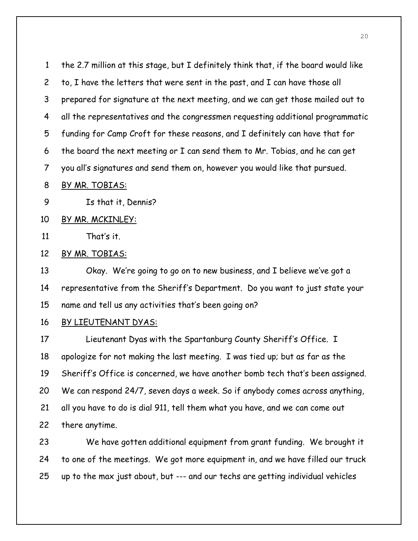1 the 2.7 million at this stage, but I definitely think that, if the board would like 2 to, I have the letters that were sent in the past, and I can have those all 3 prepared for signature at the next meeting, and we can get those mailed out to 4 all the representatives and the congressmen requesting additional programmatic 5 funding for Camp Croft for these reasons, and I definitely can have that for 6 the board the next meeting or I can send them to Mr. Tobias, and he can get 7 you all's signatures and send them on, however you would like that pursued.

8 BY MR. TOBIAS:

9 Is that it, Dennis?

10 BY MR. MCKINLEY:

11 That's it.

12 BY MR. TOBIAS:

13 Okay. We're going to go on to new business, and I believe we've got a 14 representative from the Sheriff's Department. Do you want to just state your 15 name and tell us any activities that's been going on?

16 BY LIEUTENANT DYAS:

17 Lieutenant Dyas with the Spartanburg County Sheriff's Office. I 18 apologize for not making the last meeting. I was tied up; but as far as the 19 Sheriff's Office is concerned, we have another bomb tech that's been assigned. 20 We can respond 24/7, seven days a week. So if anybody comes across anything, 21 all you have to do is dial 911, tell them what you have, and we can come out 22 there anytime.

23 We have gotten additional equipment from grant funding. We brought it 24 to one of the meetings. We got more equipment in, and we have filled our truck 25 up to the max just about, but --- and our techs are getting individual vehicles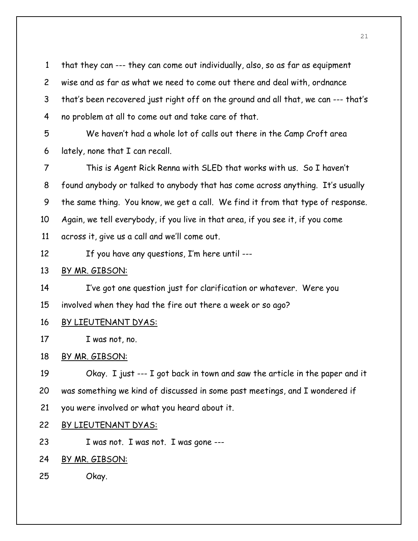1 that they can --- they can come out individually, also, so as far as equipment 2 wise and as far as what we need to come out there and deal with, ordnance 3 that's been recovered just right off on the ground and all that, we can --- that's 4 no problem at all to come out and take care of that.

5 We haven't had a whole lot of calls out there in the Camp Croft area 6 lately, none that I can recall.

7 This is Agent Rick Renna with SLED that works with us. So I haven't 8 found anybody or talked to anybody that has come across anything. It's usually 9 the same thing. You know, we get a call. We find it from that type of response. 10 Again, we tell everybody, if you live in that area, if you see it, if you come 11 across it, give us a call and we'll come out.

- 12 If you have any questions, I'm here until ---
- 13 BY MR. GIBSON:

14 I've got one question just for clarification or whatever. Were you

15 involved when they had the fire out there a week or so ago?

- 16 BY LIEUTENANT DYAS:
- 17 I was not, no.

### 18 BY MR. GIBSON:

19 Okay. I just --- I got back in town and saw the article in the paper and it 20 was something we kind of discussed in some past meetings, and I wondered if 21 you were involved or what you heard about it.

#### 22 BY LIEUTENANT DYAS:

23 I was not. I was not. I was gone ---

### 24 BY MR. GIBSON:

25 Okay.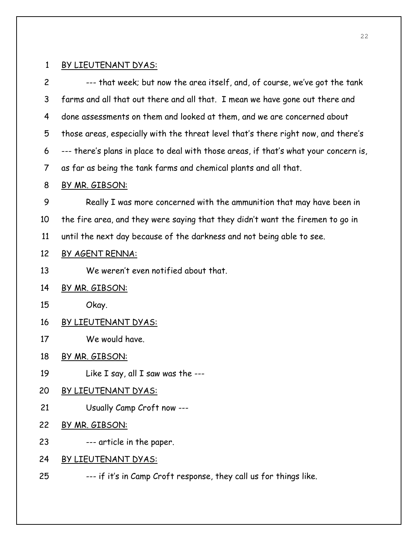## 1 BY LIEUTENANT DYAS:

2 --- that week; but now the area itself, and, of course, we've got the tank 3 farms and all that out there and all that. I mean we have gone out there and 4 done assessments on them and looked at them, and we are concerned about 5 those areas, especially with the threat level that's there right now, and there's 6 --- there's plans in place to deal with those areas, if that's what your concern is, 7 as far as being the tank farms and chemical plants and all that.

## 8 BY MR. GIBSON:

9 Really I was more concerned with the ammunition that may have been in 10 the fire area, and they were saying that they didn't want the firemen to go in 11 until the next day because of the darkness and not being able to see.

## 12 BY AGENT RENNA:

13 We weren't even notified about that.

## 14 BY MR. GIBSON:

- 15 Okay.
- 16 BY LIEUTENANT DYAS:
- 17 We would have.

18 BY MR. GIBSON:

- 19 Like I say, all I saw was the ---
- 20 BY LIEUTENANT DYAS:
- 21 Usually Camp Croft now ---
- 22 BY MR. GIBSON:
- 23 --- article in the paper.

## 24 BY LIEUTENANT DYAS:

25 --- if it's in Camp Croft response, they call us for things like.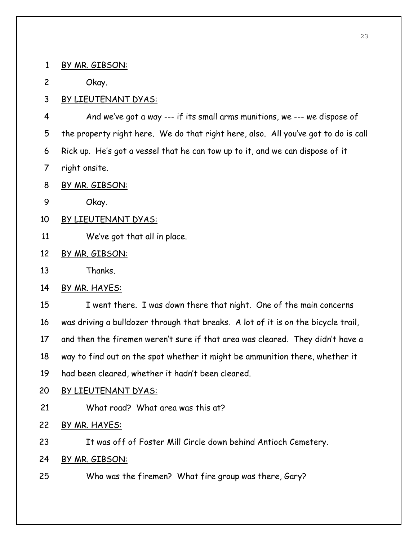1 BY MR. GIBSON:

2 Okay.

3 BY LIEUTENANT DYAS:

4 And we've got a way --- if its small arms munitions, we --- we dispose of 5 the property right here. We do that right here, also. All you've got to do is call 6 Rick up. He's got a vessel that he can tow up to it, and we can dispose of it 7 right onsite.

8 BY MR. GIBSON:

9 Okay.

10 BY LIEUTENANT DYAS:

11 We've got that all in place.

12 BY MR. GIBSON:

13 Thanks.

14 BY MR. HAYES:

15 I went there. I was down there that night. One of the main concerns 16 was driving a bulldozer through that breaks. A lot of it is on the bicycle trail,

17 and then the firemen weren't sure if that area was cleared. They didn't have a

18 way to find out on the spot whether it might be ammunition there, whether it

19 had been cleared, whether it hadn't been cleared.

20 BY LIEUTENANT DYAS:

21 What road? What area was this at?

22 BY MR. HAYES:

23 It was off of Foster Mill Circle down behind Antioch Cemetery.

24 BY MR. GIBSON:

25 Who was the firemen? What fire group was there, Gary?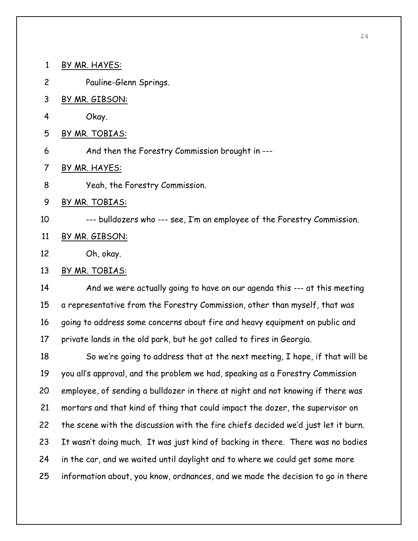1 BY MR. HAYES:

- 2 Pauline-Glenn Springs.
- 3 BY MR. GIBSON:
- 4 Okay.
- 5 BY MR. TOBIAS:
- 6 And then the Forestry Commission brought in ---
- 7 BY MR. HAYES:
- 8 Yeah, the Forestry Commission.
- 9 BY MR. TOBIAS:
- 10 --- bulldozers who --- see, I'm an employee of the Forestry Commission.
- 11 BY MR. GIBSON:
- 12 Oh, okay.

### 13 BY MR. TOBIAS:

14 And we were actually going to have on our agenda this --- at this meeting 15 a representative from the Forestry Commission, other than myself, that was 16 going to address some concerns about fire and heavy equipment on public and 17 private lands in the old park, but he got called to fires in Georgia.

18 So we're going to address that at the next meeting, I hope, if that will be 19 you all's approval, and the problem we had, speaking as a Forestry Commission 20 employee, of sending a bulldozer in there at night and not knowing if there was 21 mortars and that kind of thing that could impact the dozer, the supervisor on 22 the scene with the discussion with the fire chiefs decided we'd just let it burn. 23 It wasn't doing much. It was just kind of backing in there. There was no bodies 24 in the car, and we waited until daylight and to where we could get some more 25 information about, you know, ordnances, and we made the decision to go in there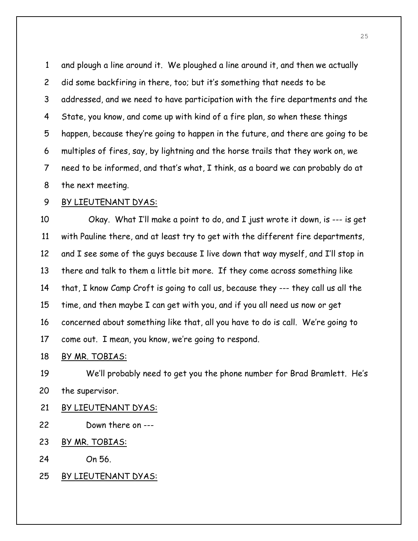1 and plough a line around it. We ploughed a line around it, and then we actually 2 did some backfiring in there, too; but it's something that needs to be 3 addressed, and we need to have participation with the fire departments and the 4 State, you know, and come up with kind of a fire plan, so when these things 5 happen, because they're going to happen in the future, and there are going to be 6 multiples of fires, say, by lightning and the horse trails that they work on, we 7 need to be informed, and that's what, I think, as a board we can probably do at 8 the next meeting.

### 9 BY LIEUTENANT DYAS:

10 Okay. What I'll make a point to do, and I just wrote it down, is --- is get 11 with Pauline there, and at least try to get with the different fire departments, 12 and I see some of the guys because I live down that way myself, and I'll stop in 13 there and talk to them a little bit more. If they come across something like 14 that, I know Camp Croft is going to call us, because they --- they call us all the 15 time, and then maybe I can get with you, and if you all need us now or get 16 concerned about something like that, all you have to do is call. We're going to 17 come out. I mean, you know, we're going to respond.

#### 18 BY MR. TOBIAS:

19 We'll probably need to get you the phone number for Brad Bramlett. He's 20 the supervisor.

- 21 BY LIEUTENANT DYAS:
- 22 Down there on ---
- 23 BY MR. TOBIAS:

24 On 56.

25 BY LIEUTENANT DYAS: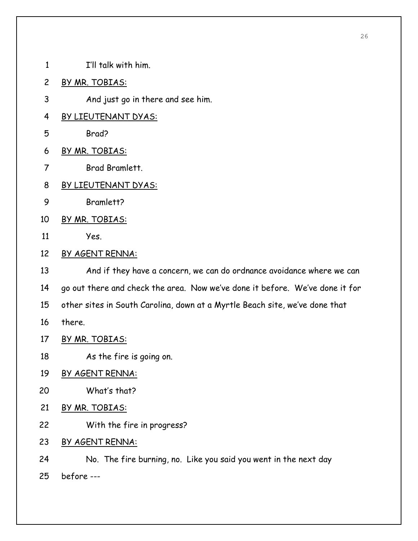- 1 I'll talk with him.
- 2 BY MR. TOBIAS:
- 3 And just go in there and see him.
- 4 BY LIEUTENANT DYAS:
- 5 Brad?
- 6 BY MR. TOBIAS:
- 7 Brad Bramlett.
- 8 BY LIEUTENANT DYAS:
- 9 Bramlett?
- 10 BY MR. TOBIAS:
- 11 Yes.
- 12 BY AGENT RENNA:

13 And if they have a concern, we can do ordnance avoidance where we can 14 go out there and check the area. Now we've done it before. We've done it for 15 other sites in South Carolina, down at a Myrtle Beach site, we've done that 16 there.

- 17 BY MR. TOBIAS:
- 18 As the fire is going on.
- 19 BY AGENT RENNA:
- 20 What's that?
- 21 BY MR. TOBIAS:
- 22 With the fire in progress?
- 23 BY AGENT RENNA:
- 24 No. The fire burning, no. Like you said you went in the next day
- 25 before ---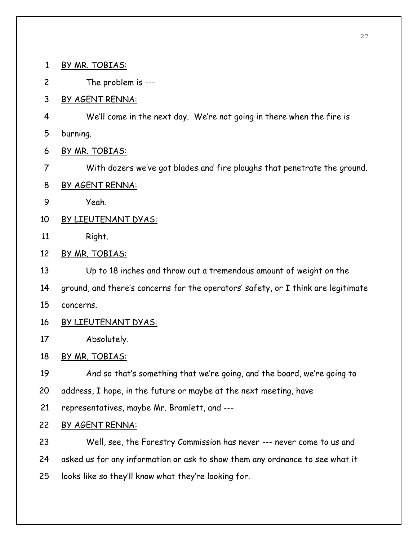1 BY MR. TOBIAS:

2 The problem is ---

3 BY AGENT RENNA:

4 We'll come in the next day. We're not going in there when the fire is

5 burning.

6 BY MR. TOBIAS:

7 With dozers we've got blades and fire ploughs that penetrate the ground.

- 8 BY AGENT RENNA:
- 9 Yeah.
- 10 BY LIEUTENANT DYAS:
- 11 Right.
- 12 BY MR. TOBIAS:

13 Up to 18 inches and throw out a tremendous amount of weight on the

14 ground, and there's concerns for the operators' safety, or I think are legitimate

- 15 concerns.
- 16 BY LIEUTENANT DYAS:
- 17 Absolutely.

18 BY MR. TOBIAS:

19 And so that's something that we're going, and the board, we're going to

20 address, I hope, in the future or maybe at the next meeting, have

21 representatives, maybe Mr. Bramlett, and ---

22 BY AGENT RENNA:

23 Well, see, the Forestry Commission has never --- never come to us and 24 asked us for any information or ask to show them any ordnance to see what it 25 looks like so they'll know what they're looking for.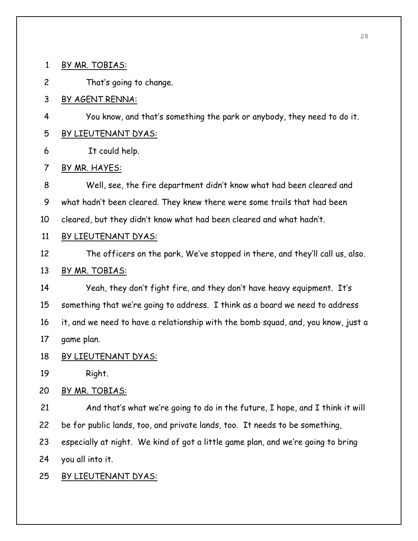1 BY MR. TOBIAS:

2 That's going to change.

3 BY AGENT RENNA:

- 4 You know, and that's something the park or anybody, they need to do it.
- 5 BY LIEUTENANT DYAS:

6 It could help.

7 BY MR. HAYES:

8 Well, see, the fire department didn't know what had been cleared and 9 what hadn't been cleared. They knew there were some trails that had been 10 cleared, but they didn't know what had been cleared and what hadn't.

- 11 BY LIEUTENANT DYAS:
- 12 The officers on the park, We've stopped in there, and they'll call us, also.

## 13 BY MR. TOBIAS:

14 Yeah, they don't fight fire, and they don't have heavy equipment. It's 15 something that we're going to address. I think as a board we need to address 16 it, and we need to have a relationship with the bomb squad, and, you know, just a 17 game plan.

18 BY LIEUTENANT DYAS:

19 Right.

20 BY MR. TOBIAS:

21 And that's what we're going to do in the future, I hope, and I think it will 22 be for public lands, too, and private lands, too. It needs to be something, 23 especially at night. We kind of got a little game plan, and we're going to bring 24 you all into it.

25 BY LIEUTENANT DYAS: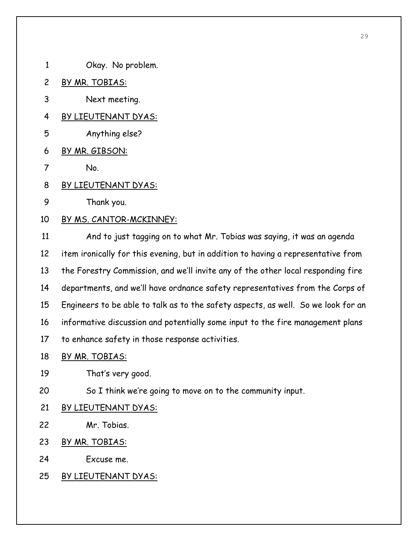- 1 Okay. No problem.
- 2 BY MR. TOBIAS:
- 3 Next meeting.
- 4 BY LIEUTENANT DYAS:
- 5 Anything else?
- 6 BY MR. GIBSON:
- 7 No.
- 8 BY LIEUTENANT DYAS:
- 9 Thank you.
- 10 BY MS. CANTOR-MCKINNEY:

11 And to just tagging on to what Mr. Tobias was saying, it was an agenda 12 item ironically for this evening, but in addition to having a representative from 13 the Forestry Commission, and we'll invite any of the other local responding fire 14 departments, and we'll have ordnance safety representatives from the Corps of 15 Engineers to be able to talk as to the safety aspects, as well. So we look for an 16 informative discussion and potentially some input to the fire management plans 17 to enhance safety in those response activities.

- 18 BY MR. TOBIAS:
- 19 That's very good.
- 20 So I think we're going to move on to the community input.
- 21 BY LIEUTENANT DYAS:
- 22 Mr. Tobias.
- 23 BY MR. TOBIAS:
- 24 Excuse me.
- 25 BY LIEUTENANT DYAS: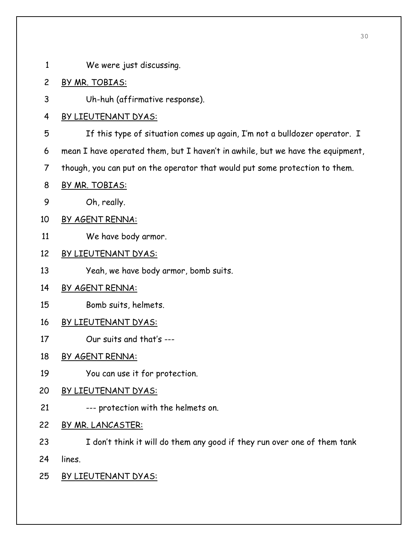1 We were just discussing.

## 2 BY MR. TOBIAS:

3 Uh-huh (affirmative response).

## 4 BY LIEUTENANT DYAS:

5 If this type of situation comes up again, I'm not a bulldozer operator. I

6 mean I have operated them, but I haven't in awhile, but we have the equipment,

7 though, you can put on the operator that would put some protection to them.

- 8 BY MR. TOBIAS:
- 9 Oh, really.
- 10 BY AGENT RENNA:
- 11 We have body armor.

## 12 BY LIEUTENANT DYAS:

13 Yeah, we have body armor, bomb suits.

## 14 BY AGENT RENNA:

- 15 Bomb suits, helmets.
- 16 BY LIEUTENANT DYAS:
- 17 Our suits and that's ---

## 18 BY AGENT RENNA:

19 You can use it for protection.

## 20 BY LIEUTENANT DYAS:

- 21 --- protection with the helmets on.
- 22 BY MR. LANCASTER:
- 23 I don't think it will do them any good if they run over one of them tank 24 lines.
- 25 BY LIEUTENANT DYAS: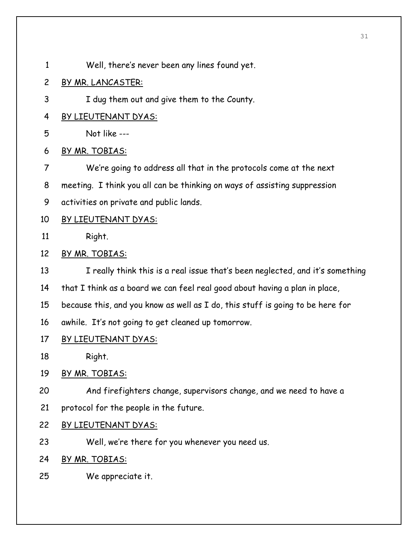- 1 Well, there's never been any lines found yet.
- 2 BY MR. LANCASTER:
- 3 I dug them out and give them to the County.
- 4 BY LIEUTENANT DYAS:
- 5 Not like ---
- 6 BY MR. TOBIAS:
- 7 We're going to address all that in the protocols come at the next
- 8 meeting. I think you all can be thinking on ways of assisting suppression
- 9 activities on private and public lands.
- 10 BY LIEUTENANT DYAS:
- 11 Right.
- 12 BY MR. TOBIAS:
- 13 I really think this is a real issue that's been neglected, and it's something
- 14 that I think as a board we can feel real good about having a plan in place,
- 15 because this, and you know as well as I do, this stuff is going to be here for
- 16 awhile. It's not going to get cleaned up tomorrow.
- 17 BY LIEUTENANT DYAS:
- 18 Right.
- 19 BY MR. TOBIAS:
- 20 And firefighters change, supervisors change, and we need to have a
- 21 protocol for the people in the future.
- 22 BY LIEUTENANT DYAS:
- 23 Well, we're there for you whenever you need us.
- 24 BY MR. TOBIAS:
- 25 We appreciate it.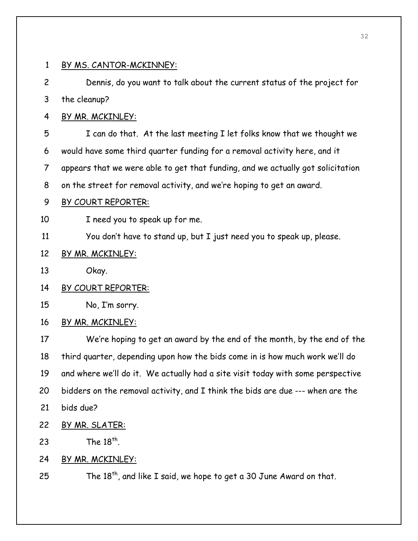#### 1 BY MS. CANTOR-MCKINNEY:

2 Dennis, do you want to talk about the current status of the project for 3 the cleanup?

4 BY MR. MCKINLEY:

5 I can do that. At the last meeting I let folks know that we thought we 6 would have some third quarter funding for a removal activity here, and it 7 appears that we were able to get that funding, and we actually got solicitation 8 on the street for removal activity, and we're hoping to get an award.

#### 9 BY COURT REPORTER:

10 I need you to speak up for me.

11 You don't have to stand up, but I just need you to speak up, please.

#### 12 BY MR. MCKINLEY:

- 13 Okay.
- 14 BY COURT REPORTER:
- 15 No, I'm sorry.
- 16 BY MR. MCKINLEY:

17 We're hoping to get an award by the end of the month, by the end of the 18 third quarter, depending upon how the bids come in is how much work we'll do 19 and where we'll do it. We actually had a site visit today with some perspective 20 bidders on the removal activity, and I think the bids are due --- when are the 21 bids due?

- 22 BY MR. SLATER:
- 23 The  $18<sup>th</sup>$ .
- 24 BY MR. MCKINLEY:

25 The  $18^{th}$ , and like I said, we hope to get a 30 June Award on that.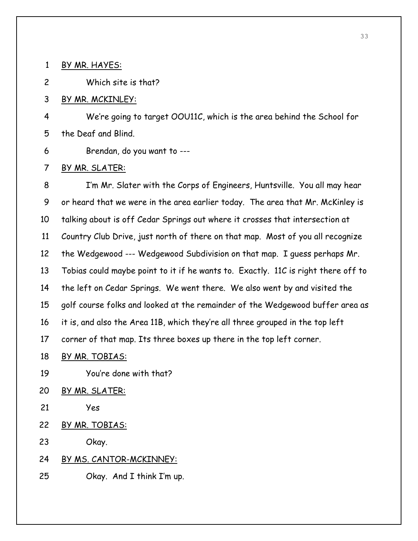1 BY MR. HAYES:

2 Which site is that?

3 BY MR. MCKINLEY:

4 We're going to target OOU11C, which is the area behind the School for 5 the Deaf and Blind.

6 Brendan, do you want to ---

7 BY MR. SLATER:

8 I'm Mr. Slater with the Corps of Engineers, Huntsville. You all may hear 9 or heard that we were in the area earlier today. The area that Mr. McKinley is 10 talking about is off Cedar Springs out where it crosses that intersection at 11 Country Club Drive, just north of there on that map. Most of you all recognize 12 the Wedgewood --- Wedgewood Subdivision on that map. I guess perhaps Mr. 13 Tobias could maybe point to it if he wants to. Exactly. 11C is right there off to 14 the left on Cedar Springs. We went there. We also went by and visited the 15 golf course folks and looked at the remainder of the Wedgewood buffer area as 16 it is, and also the Area 11B, which they're all three grouped in the top left 17 corner of that map. Its three boxes up there in the top left corner.

- 18 BY MR. TOBIAS:
- 19 You're done with that?
- 20 BY MR. SLATER:
- 21 Yes
- 22 BY MR. TOBIAS:

23 Okay.

## 24 BY MS. CANTOR-MCKINNEY:

25 Okay. And I think I'm up.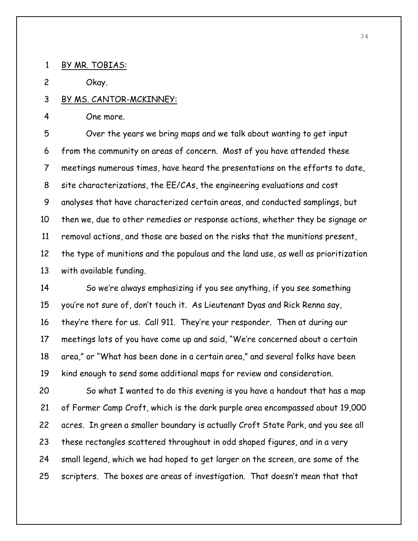1 BY MR. TOBIAS:

2 Okay.

### 3 BY MS. CANTOR-MCKINNEY:

4 One more.

5 Over the years we bring maps and we talk about wanting to get input 6 from the community on areas of concern. Most of you have attended these 7 meetings numerous times, have heard the presentations on the efforts to date, 8 site characterizations, the EE/CAs, the engineering evaluations and cost 9 analyses that have characterized certain areas, and conducted samplings, but 10 then we, due to other remedies or response actions, whether they be signage or 11 removal actions, and those are based on the risks that the munitions present, 12 the type of munitions and the populous and the land use, as well as prioritization 13 with available funding.

14 So we're always emphasizing if you see anything, if you see something 15 you're not sure of, don't touch it. As Lieutenant Dyas and Rick Renna say, 16 they're there for us. Call 911. They're your responder. Then at during our 17 meetings lots of you have come up and said, "We're concerned about a certain 18 area," or "What has been done in a certain area," and several folks have been 19 kind enough to send some additional maps for review and consideration.

20 So what I wanted to do this evening is you have a handout that has a map 21 of Former Camp Croft, which is the dark purple area encompassed about 19,000 22 acres. In green a smaller boundary is actually Croft State Park, and you see all 23 these rectangles scattered throughout in odd shaped figures, and in a very 24 small legend, which we had hoped to get larger on the screen, are some of the 25 scripters. The boxes are areas of investigation. That doesn't mean that that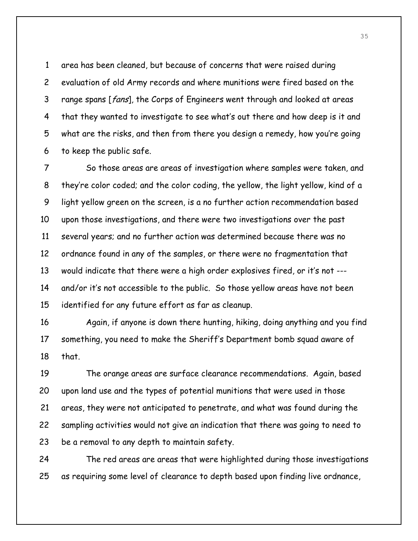1 area has been cleaned, but because of concerns that were raised during 2 evaluation of old Army records and where munitions were fired based on the 3 range spans [fans], the Corps of Engineers went through and looked at areas 4 that they wanted to investigate to see what's out there and how deep is it and 5 what are the risks, and then from there you design a remedy, how you're going 6 to keep the public safe.

7 So those areas are areas of investigation where samples were taken, and 8 they're color coded; and the color coding, the yellow, the light yellow, kind of a 9 light yellow green on the screen, is a no further action recommendation based 10 upon those investigations, and there were two investigations over the past 11 several years; and no further action was determined because there was no 12 ordnance found in any of the samples, or there were no fragmentation that 13 would indicate that there were a high order explosives fired, or it's not --- 14 and/or it's not accessible to the public. So those yellow areas have not been 15 identified for any future effort as far as cleanup.

16 Again, if anyone is down there hunting, hiking, doing anything and you find 17 something, you need to make the Sheriff's Department bomb squad aware of 18 that.

19 The orange areas are surface clearance recommendations. Again, based 20 upon land use and the types of potential munitions that were used in those 21 areas, they were not anticipated to penetrate, and what was found during the 22 sampling activities would not give an indication that there was going to need to 23 be a removal to any depth to maintain safety.

24 The red areas are areas that were highlighted during those investigations 25 as requiring some level of clearance to depth based upon finding live ordnance,

35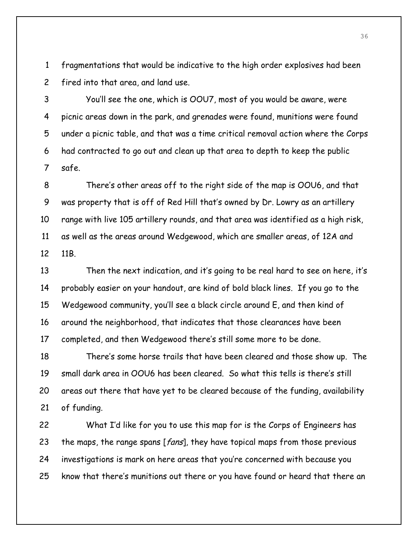1 fragmentations that would be indicative to the high order explosives had been 2 fired into that area, and land use.

3 You'll see the one, which is OOU7, most of you would be aware, were 4 picnic areas down in the park, and grenades were found, munitions were found 5 under a picnic table, and that was a time critical removal action where the Corps 6 had contracted to go out and clean up that area to depth to keep the public 7 safe.

8 There's other areas off to the right side of the map is OOU6, and that 9 was property that is off of Red Hill that's owned by Dr. Lowry as an artillery 10 range with live 105 artillery rounds, and that area was identified as a high risk, 11 as well as the areas around Wedgewood, which are smaller areas, of 12A and 12 11B.

13 Then the next indication, and it's going to be real hard to see on here, it's 14 probably easier on your handout, are kind of bold black lines. If you go to the 15 Wedgewood community, you'll see a black circle around E, and then kind of 16 around the neighborhood, that indicates that those clearances have been 17 completed, and then Wedgewood there's still some more to be done.

18 There's some horse trails that have been cleared and those show up. The 19 small dark area in OOU6 has been cleared. So what this tells is there's still 20 areas out there that have yet to be cleared because of the funding, availability 21 of funding.

22 What I'd like for you to use this map for is the Corps of Engineers has 23 the maps, the range spans [*fans*], they have topical maps from those previous 24 investigations is mark on here areas that you're concerned with because you 25 know that there's munitions out there or you have found or heard that there an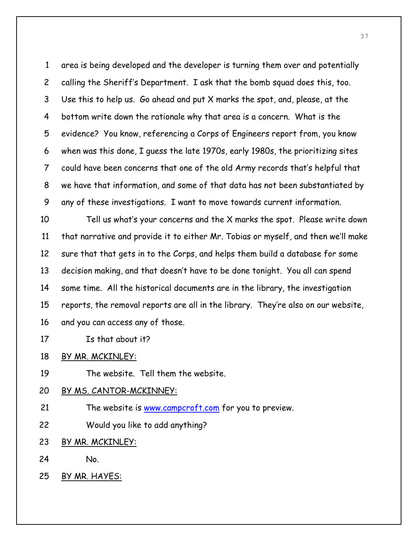1 area is being developed and the developer is turning them over and potentially 2 calling the Sheriff's Department. I ask that the bomb squad does this, too. 3 Use this to help us. Go ahead and put X marks the spot, and, please, at the 4 bottom write down the rationale why that area is a concern. What is the 5 evidence? You know, referencing a Corps of Engineers report from, you know 6 when was this done, I guess the late 1970s, early 1980s, the prioritizing sites 7 could have been concerns that one of the old Army records that's helpful that 8 we have that information, and some of that data has not been substantiated by 9 any of these investigations. I want to move towards current information.

10 Tell us what's your concerns and the X marks the spot. Please write down 11 that narrative and provide it to either Mr. Tobias or myself, and then we'll make 12 sure that that gets in to the Corps, and helps them build a database for some 13 decision making, and that doesn't have to be done tonight. You all can spend 14 some time. All the historical documents are in the library, the investigation 15 reports, the removal reports are all in the library. They're also on our website, 16 and you can access any of those.

- 17 Is that about it?
- 18 BY MR. MCKINLEY:
- 19 The website. Tell them the website.

### 20 BY MS. CANTOR-MCKINNEY:

- 21 The website is www.campcroft.com for you to preview.
- 22 Would you like to add anything?
- 23 BY MR. MCKINLEY:
- 24 No.
- 25 BY MR. HAYES: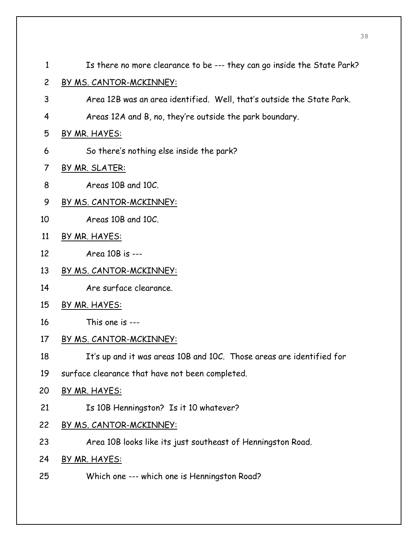- 1 Is there no more clearance to be --- they can go inside the State Park?
- 2 BY MS. CANTOR-MCKINNEY:
- 3 Area 12B was an area identified. Well, that's outside the State Park.
- 4 Areas 12A and B, no, they're outside the park boundary.
- 5 BY MR. HAYES:
- 6 So there's nothing else inside the park?
- 7 BY MR. SLATER:
- 8 Areas 10B and 10C.
- 9 BY MS. CANTOR-MCKINNEY:
- 10 Areas 10B and 10C.
- 11 BY MR. HAYES:
- 12 Area 10B is ---
- 13 BY MS. CANTOR-MCKINNEY:
- 14 Are surface clearance.
- 15 BY MR. HAYES:
- 16 This one is ---
- 17 BY MS. CANTOR-MCKINNEY:
- 18 It's up and it was areas 10B and 10C. Those areas are identified for
- 19 surface clearance that have not been completed.
- 20 BY MR. HAYES:
- 21 Is 10B Henningston? Is it 10 whatever?
- 22 BY MS. CANTOR-MCKINNEY:
- 23 Area 10B looks like its just southeast of Henningston Road.
- 24 BY MR. HAYES:
- 25 Which one --- which one is Henningston Road?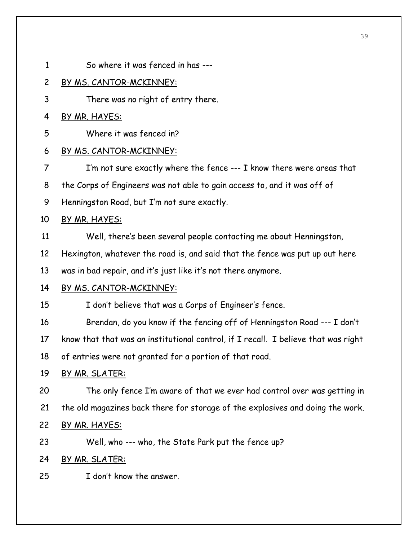1 So where it was fenced in has --- 2 BY MS. CANTOR-MCKINNEY: 3 There was no right of entry there. 4 BY MR. HAYES: 5 Where it was fenced in? 6 BY MS. CANTOR-MCKINNEY: 7 I'm not sure exactly where the fence --- I know there were areas that 8 the Corps of Engineers was not able to gain access to, and it was off of 9 Henningston Road, but I'm not sure exactly. 10 BY MR. HAYES: 11 Well, there's been several people contacting me about Henningston, 12 Hexington, whatever the road is, and said that the fence was put up out here 13 was in bad repair, and it's just like it's not there anymore. 14 BY MS. CANTOR-MCKINNEY: 15 I don't believe that was a Corps of Engineer's fence. 16 Brendan, do you know if the fencing off of Henningston Road --- I don't 17 know that that was an institutional control, if I recall. I believe that was right 18 of entries were not granted for a portion of that road. 19 BY MR. SLATER: 20 The only fence I'm aware of that we ever had control over was getting in 21 the old magazines back there for storage of the explosives and doing the work. 22 BY MR. HAYES: 23 Well, who --- who, the State Park put the fence up? 24 BY MR. SLATER: 25 I don't know the answer.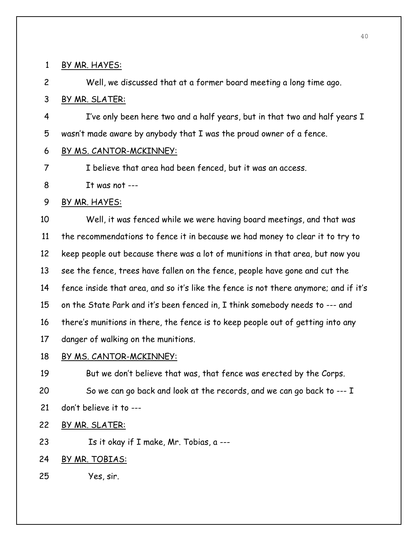1 BY MR. HAYES:

2 Well, we discussed that at a former board meeting a long time ago.

3 BY MR. SLATER:

4 I've only been here two and a half years, but in that two and half years I 5 wasn't made aware by anybody that I was the proud owner of a fence.

6 BY MS. CANTOR-MCKINNEY:

7 I believe that area had been fenced, but it was an access.

8 It was not ---

9 BY MR. HAYES:

10 Well, it was fenced while we were having board meetings, and that was 11 the recommendations to fence it in because we had money to clear it to try to 12 keep people out because there was a lot of munitions in that area, but now you 13 see the fence, trees have fallen on the fence, people have gone and cut the 14 fence inside that area, and so it's like the fence is not there anymore; and if it's 15 on the State Park and it's been fenced in, I think somebody needs to --- and 16 there's munitions in there, the fence is to keep people out of getting into any 17 danger of walking on the munitions.

18 BY MS. CANTOR-MCKINNEY:

19 But we don't believe that was, that fence was erected by the Corps. 20 So we can go back and look at the records, and we can go back to --- I

- 21 don't believe it to ---
- 22 BY MR. SLATER:

23 Is it okay if I make, Mr. Tobias, a ---

## 24 BY MR. TOBIAS:

25 Yes, sir.

40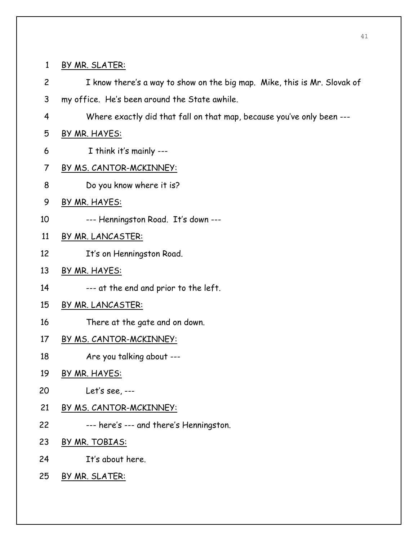1 BY MR. SLATER:

- 2 I know there's a way to show on the big map. Mike, this is Mr. Slovak of 3 my office. He's been around the State awhile.
- 4 Where exactly did that fall on that map, because you've only been ---

## 5 BY MR. HAYES:

- 6 I think it's mainly ---
- 7 BY MS. CANTOR-MCKINNEY:
- 8 Do you know where it is?
- 9 BY MR. HAYES:
- 10 --- Henningston Road. It's down ---
- 11 BY MR. LANCASTER:
- 12 It's on Henningston Road.
- 13 BY MR. HAYES:
- 14 --- at the end and prior to the left.
- 15 BY MR. LANCASTER:
- 16 There at the gate and on down.
- 17 BY MS. CANTOR-MCKINNEY:
- 18 Are you talking about ---
- 19 BY MR. HAYES:
- 20 Let's see, ---
- 21 BY MS. CANTOR-MCKINNEY:
- 22 --- here's --- and there's Henningston.
- 23 BY MR. TOBIAS:
- 24 It's about here.
- 25 BY MR. SLATER: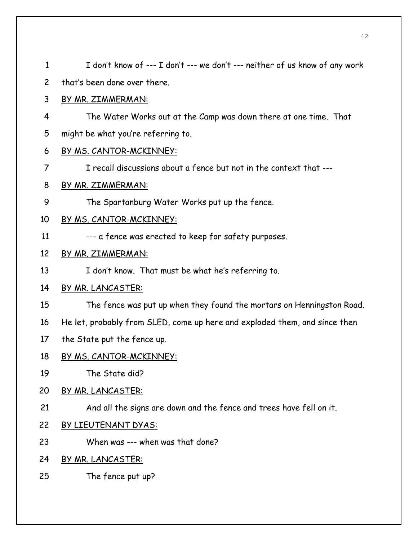| $\mathbf{1}$   | I don't know of --- I don't --- we don't --- neither of us know of any work |
|----------------|-----------------------------------------------------------------------------|
| $\overline{c}$ | that's been done over there.                                                |
| 3              | BY MR. ZIMMERMAN:                                                           |
| 4              | The Water Works out at the Camp was down there at one time. That            |
| 5              | might be what you're referring to.                                          |
| 6              | BY MS. CANTOR-MCKINNEY:                                                     |
| $\overline{7}$ | I recall discussions about a fence but not in the context that ---          |
| 8              | <u>BY MR. ZIMMERMAN:</u>                                                    |
| 9              | The Spartanburg Water Works put up the fence.                               |
| 10             | <u>BY MS. CANTOR-MCKINNEY:</u>                                              |
| 11             | --- a fence was erected to keep for safety purposes.                        |
| 12             | BY MR. ZIMMERMAN:                                                           |
| 13             | I don't know. That must be what he's referring to.                          |
| 14             | <u>BY MR. LANCASTER:</u>                                                    |
| 15             | The fence was put up when they found the mortars on Henningston Road.       |
| 16             | He let, probably from SLED, come up here and exploded them, and since then  |
| 17             | the State put the fence up.                                                 |
| 18             | <u>BY MS. CANTOR-MCKINNEY:</u>                                              |
| 19             | The State did?                                                              |
| 20             | BY MR. LANCASTER:                                                           |
| 21             | And all the signs are down and the fence and trees have fell on it.         |
| 22             | BY LIEUTENANT DYAS:                                                         |
| 23             | When was --- when was that done?                                            |
| 24             | BY MR. LANCASTER:                                                           |
| 25             | The fence put up?                                                           |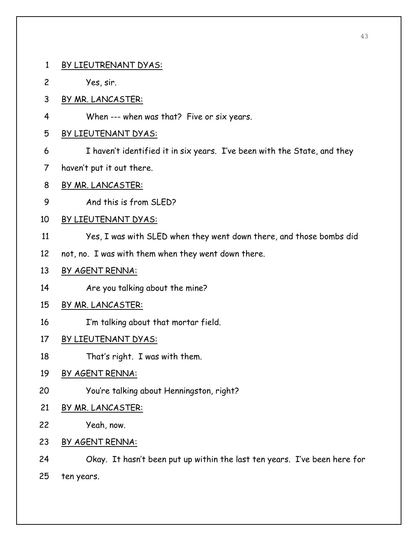- 1 BY LIEUTRENANT DYAS:
- 2 Yes, sir.
- 3 BY MR. LANCASTER:
- 4 When --- when was that? Five or six years.

#### 5 BY LIEUTENANT DYAS:

- 6 I haven't identified it in six years. I've been with the State, and they
- 7 haven't put it out there.
- 8 BY MR. LANCASTER:
- 9 And this is from SLED?
- 10 BY LIEUTENANT DYAS:
- 11 Yes, I was with SLED when they went down there, and those bombs did
- 12 not, no. I was with them when they went down there.
- 13 BY AGENT RENNA:
- 14 Are you talking about the mine?
- 15 BY MR. LANCASTER:
- 16 I'm talking about that mortar field.
- 17 BY LIEUTENANT DYAS:
- 18 That's right. I was with them.

## 19 BY AGENT RENNA:

- 20 You're talking about Henningston, right?
- 21 BY MR. LANCASTER:
- 22 Yeah, now.
- 23 BY AGENT RENNA:
- 24 Okay. It hasn't been put up within the last ten years. I've been here for
- 25 ten years.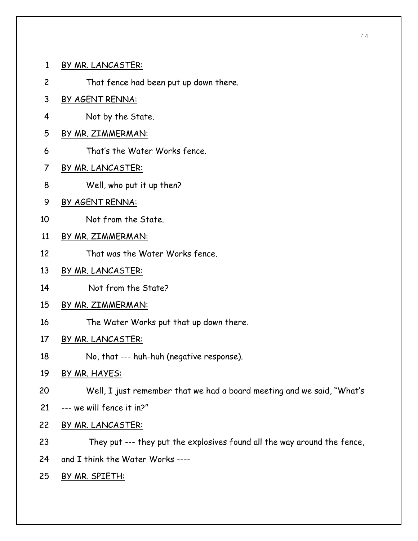- 1 BY MR. LANCASTER:
- 2 That fence had been put up down there.
- 3 BY AGENT RENNA:
- 4 Not by the State.
- 5 BY MR. ZIMMERMAN:
- 6 That's the Water Works fence.
- 7 BY MR. LANCASTER:
- 8 Well, who put it up then?
- 9 BY AGENT RENNA:
- 10 Not from the State.
- 11 BY MR. ZIMMERMAN:
- 12 That was the Water Works fence.
- 13 BY MR. LANCASTER:
- 14 Not from the State?
- 15 BY MR. ZIMMERMAN:
- 16 The Water Works put that up down there.
- 17 BY MR. LANCASTER:
- 18 No, that --- huh-huh (negative response).
- 19 BY MR. HAYES:
- 20 Well, I just remember that we had a board meeting and we said, "What's
- 21 --- we will fence it in?"
- 22 BY MR. LANCASTER:
- 23 They put --- they put the explosives found all the way around the fence,
- 24 and I think the Water Works ----
- 25 BY MR. SPIETH: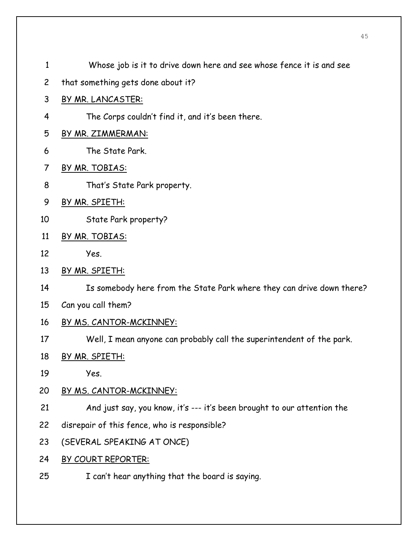- 1 Whose job is it to drive down here and see whose fence it is and see
- 2 that something gets done about it?
- 3 BY MR. LANCASTER:
- 4 The Corps couldn't find it, and it's been there.
- 5 BY MR. ZIMMERMAN:
- 6 The State Park.
- 7 BY MR. TOBIAS:
- 8 That's State Park property.
- 9 BY MR. SPIETH:
- 10 State Park property?
- 11 BY MR. TOBIAS:
- 12 Yes.
- 13 BY MR. SPIETH:
- 14 Is somebody here from the State Park where they can drive down there?
- 15 Can you call them?
- 16 BY MS. CANTOR-MCKINNEY:
- 17 Well, I mean anyone can probably call the superintendent of the park.
- 18 BY MR. SPIETH:
- 19 Yes.
- 20 BY MS. CANTOR-MCKINNEY:
- 21 And just say, you know, it's --- it's been brought to our attention the
- 22 disrepair of this fence, who is responsible?
- 23 (SEVERAL SPEAKING AT ONCE)
- 24 BY COURT REPORTER:
- 25 I can't hear anything that the board is saying.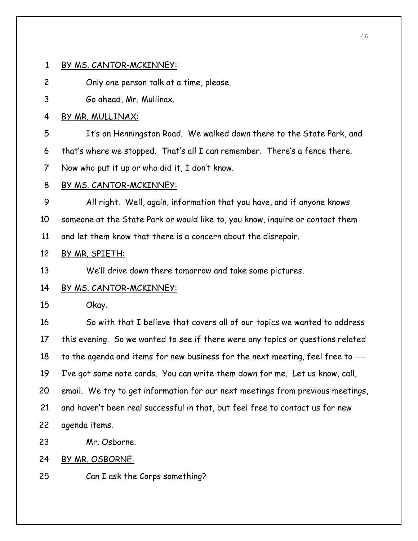#### 1 BY MS. CANTOR-MCKINNEY:

2 Only one person talk at a time, please.

3 Go ahead, Mr. Mullinax.

### 4 BY MR. MULLINAX:

5 It's on Henningston Road. We walked down there to the State Park, and 6 that's where we stopped. That's all I can remember. There's a fence there. 7 Now who put it up or who did it, I don't know.

#### 8 BY MS. CANTOR-MCKINNEY:

9 All right. Well, again, information that you have, and if anyone knows 10 someone at the State Park or would like to, you know, inquire or contact them 11 and let them know that there is a concern about the disrepair.

#### 12 BY MR. SPIETH:

13 We'll drive down there tomorrow and take some pictures.

#### 14 BY MS. CANTOR-MCKINNEY:

15 Okay.

16 So with that I believe that covers all of our topics we wanted to address 17 this evening. So we wanted to see if there were any topics or questions related 18 to the agenda and items for new business for the next meeting, feel free to --- 19 I've got some note cards. You can write them down for me. Let us know, call, 20 email. We try to get information for our next meetings from previous meetings, 21 and haven't been real successful in that, but feel free to contact us for new 22 agenda items.

23 Mr. Osborne.

24 BY MR. OSBORNE:

25 Can I ask the Corps something?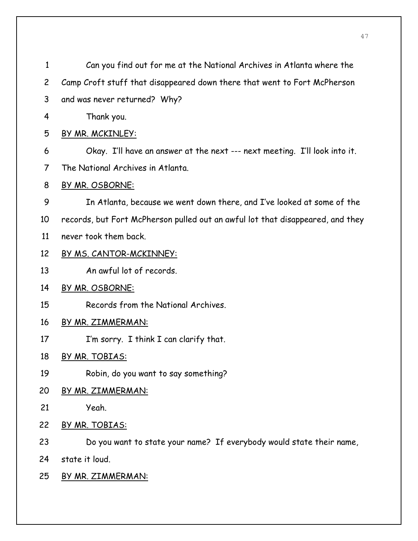| $\mathbf{1}$   | Can you find out for me at the National Archives in Atlanta where the          |
|----------------|--------------------------------------------------------------------------------|
| $\overline{c}$ | Camp Croft stuff that disappeared down there that went to Fort McPherson       |
| 3              | and was never returned? Why?                                                   |
| 4              | Thank you.                                                                     |
| 5              | BY MR. MCKINLEY:                                                               |
| 6              | Okay. I'll have an answer at the next --- next meeting. I'll look into it.     |
| 7              | The National Archives in Atlanta.                                              |
| 8              | BY MR. OSBORNE:                                                                |
| 9              | In Atlanta, because we went down there, and I've looked at some of the         |
| 10             | records, but Fort McPherson pulled out an awful lot that disappeared, and they |
| 11             | never took them back.                                                          |
| 12             | <u>BY MS. CANTOR-MCKINNEY:</u>                                                 |
| 13             | An awful lot of records.                                                       |
| 14             | BY MR. OSBORNE:                                                                |
| 15             | Records from the National Archives.                                            |
| 16             | BY MR. ZIMMERMAN:                                                              |
| 17             | I'm sorry. I think I can clarify that.                                         |
| 18             | BY MR. TOBIAS:                                                                 |
| 19             | Robin, do you want to say something?                                           |
| 20             | <u>BY MR. ZIMMERMAN:</u>                                                       |
| 21             | Yeah.                                                                          |
| 22             | BY MR. TOBIAS:                                                                 |
| 23             | Do you want to state your name? If everybody would state their name,           |
| 24             | state it loud.                                                                 |
| 25             | <u>BY MR. ZIMMERMAN:</u>                                                       |
|                |                                                                                |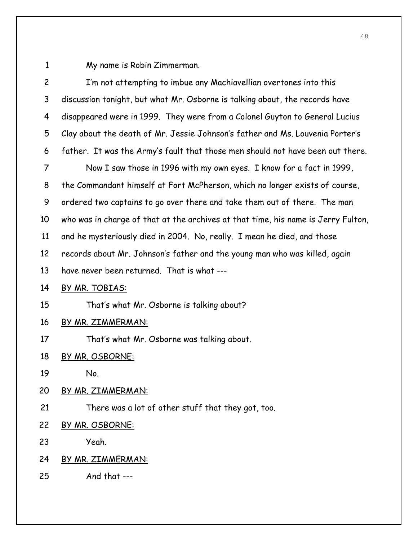1 My name is Robin Zimmerman.

| $\overline{c}$ | I'm not attempting to imbue any Machiavellian overtones into this                 |
|----------------|-----------------------------------------------------------------------------------|
| 3              | discussion tonight, but what Mr. Osborne is talking about, the records have       |
| 4              | disappeared were in 1999. They were from a Colonel Guyton to General Lucius       |
| 5              | Clay about the death of Mr. Jessie Johnson's father and Ms. Louvenia Porter's     |
| 6              | father. It was the Army's fault that those men should not have been out there.    |
| $\overline{7}$ | Now I saw those in 1996 with my own eyes. I know for a fact in 1999,              |
| 8              | the Commandant himself at Fort McPherson, which no longer exists of course,       |
| 9              | ordered two captains to go over there and take them out of there. The man         |
| 10             | who was in charge of that at the archives at that time, his name is Jerry Fulton, |
| 11             | and he mysteriously died in 2004. No, really. I mean he died, and those           |
| 12             | records about Mr. Johnson's father and the young man who was killed, again        |
| 13             | have never been returned. That is what ---                                        |
| 14             | BY MR. TOBIAS:                                                                    |
| 15             | That's what Mr. Osborne is talking about?                                         |
| 16             | <u>BY MR. ZIMMERMAN:</u>                                                          |
| 17             | That's what Mr. Osborne was talking about.                                        |
| 18             | BY MR. OSBORNE:                                                                   |
| 19             | No.                                                                               |
| 20             | <u>BY MR. ZIMMERMAN:</u>                                                          |
| 21             | There was a lot of other stuff that they got, too.                                |
| 22             | BY MR. OSBORNE:                                                                   |
| 23             | Yeah.                                                                             |
| 24             | <u>BY MR. ZIMMERMAN:</u>                                                          |
| 25             | And that ---                                                                      |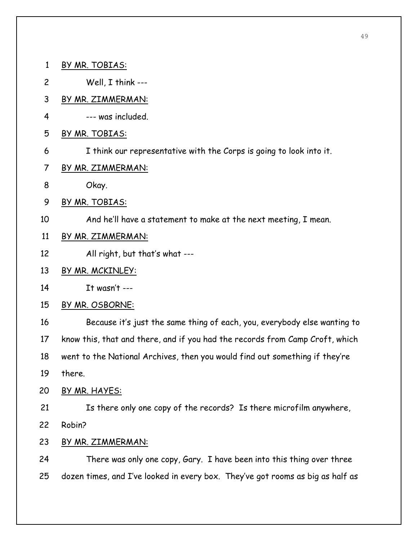- 1 BY MR. TOBIAS: 2 Well, I think --- 3 BY MR. ZIMMERMAN: 4 --- was included. 5 BY MR. TOBIAS:
	- 6 I think our representative with the Corps is going to look into it.
	- 7 BY MR. ZIMMERMAN:
	- 8 Okay.
	- 9 BY MR. TOBIAS:
- 10 And he'll have a statement to make at the next meeting, I mean.
- 11 BY MR. ZIMMERMAN:
- 12 All right, but that's what ---
- 13 BY MR. MCKINLEY:
- 14 It wasn't ---
- 15 BY MR. OSBORNE:

16 Because it's just the same thing of each, you, everybody else wanting to 17 know this, that and there, and if you had the records from Camp Croft, which 18 went to the National Archives, then you would find out something if they're

19 there.

20 BY MR. HAYES:

21 Is there only one copy of the records? Is there microfilm anywhere, 22 Robin?

23 BY MR. ZIMMERMAN:

24 There was only one copy, Gary. I have been into this thing over three 25 dozen times, and I've looked in every box. They've got rooms as big as half as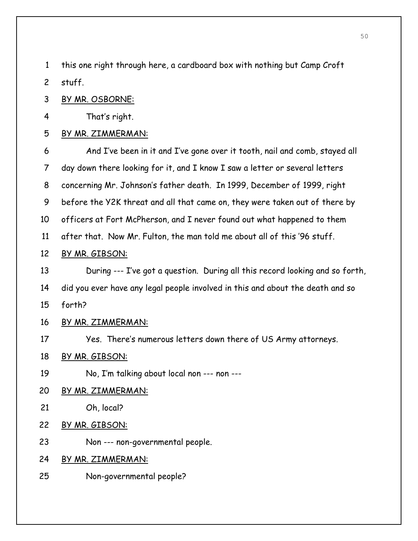1 this one right through here, a cardboard box with nothing but Camp Croft 2 stuff.

3 BY MR. OSBORNE:

4 That's right.

### 5 BY MR. ZIMMERMAN:

6 And I've been in it and I've gone over it tooth, nail and comb, stayed all 7 day down there looking for it, and I know I saw a letter or several letters 8 concerning Mr. Johnson's father death. In 1999, December of 1999, right 9 before the Y2K threat and all that came on, they were taken out of there by 10 officers at Fort McPherson, and I never found out what happened to them 11 after that. Now Mr. Fulton, the man told me about all of this '96 stuff.

### 12 BY MR. GIBSON:

13 During --- I've got a question. During all this record looking and so forth, 14 did you ever have any legal people involved in this and about the death and so 15 forth?

# 16 BY MR. ZIMMERMAN:

17 Yes. There's numerous letters down there of US Army attorneys.

- 18 BY MR. GIBSON:
- 19 No, I'm talking about local non --- non ---
- 20 BY MR. ZIMMERMAN:
- 21 Oh, local?
- 22 BY MR. GIBSON:
- 23 Non --- non-governmental people.

24 BY MR. ZIMMERMAN:

25 Non-governmental people?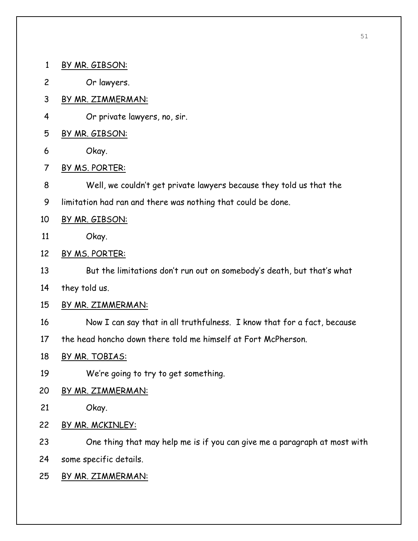- 1 BY MR. GIBSON:
- 2 Or lawyers.
- 3 BY MR. ZIMMERMAN:
- 4 Or private lawyers, no, sir.
- 5 BY MR. GIBSON:
- 6 Okay.
- 7 BY MS. PORTER:
- 8 Well, we couldn't get private lawyers because they told us that the
- 9 limitation had ran and there was nothing that could be done.
- 10 BY MR. GIBSON:
- 11 Okay.
- 12 BY MS. PORTER:
- 13 But the limitations don't run out on somebody's death, but that's what
- 14 they told us.
- 15 BY MR. ZIMMERMAN:
- 16 Now I can say that in all truthfulness. I know that for a fact, because
- 17 the head honcho down there told me himself at Fort McPherson.
- 18 BY MR. TOBIAS:
- 19 We're going to try to get something.
- 20 BY MR. ZIMMERMAN:
- 21 Okay.
- 22 BY MR. MCKINLEY:
- 23 One thing that may help me is if you can give me a paragraph at most with 24 some specific details.
- 25 BY MR. ZIMMERMAN: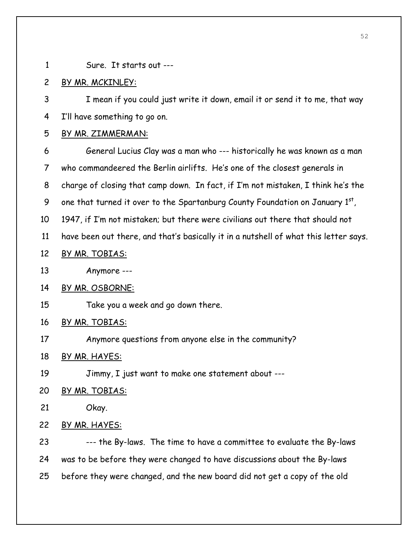- 
- 1 Sure. It starts out ---

### 2 BY MR. MCKINLEY:

3 I mean if you could just write it down, email it or send it to me, that way 4 I'll have something to go on.

#### 5 BY MR. ZIMMERMAN:

6 General Lucius Clay was a man who --- historically he was known as a man 7 who commandeered the Berlin airlifts. He's one of the closest generals in 8 charge of closing that camp down. In fact, if I'm not mistaken, I think he's the 9 one that turned it over to the Spartanburg County Foundation on January  $1^{st}$ , 10 1947, if I'm not mistaken; but there were civilians out there that should not

- 11 have been out there, and that's basically it in a nutshell of what this letter says.
- 12 BY MR. TOBIAS:
- 13 Anymore ---
- 14 BY MR. OSBORNE:
- 15 Take you a week and go down there.

### 16 BY MR. TOBIAS:

17 Anymore questions from anyone else in the community?

18 BY MR. HAYES:

19 Jimmy, I just want to make one statement about ---

### 20 BY MR. TOBIAS:

- 21 Okay.
- 22 BY MR. HAYES:

23 --- the By-laws. The time to have a committee to evaluate the By-laws 24 was to be before they were changed to have discussions about the By-laws 25 before they were changed, and the new board did not get a copy of the old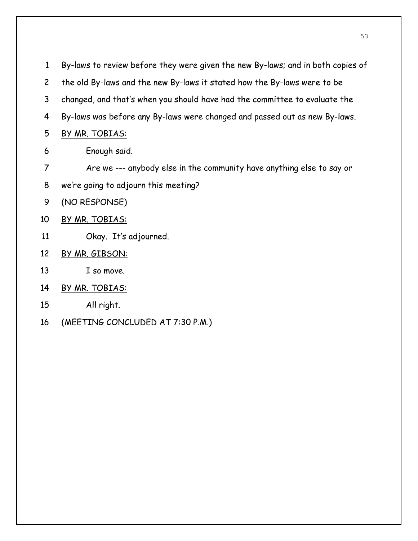| 1              | By-laws to review before they were given the new By-laws; and in both copies of |
|----------------|---------------------------------------------------------------------------------|
| $\overline{2}$ | the old By-laws and the new By-laws it stated how the By-laws were to be        |
| 3              | changed, and that's when you should have had the committee to evaluate the      |
| 4              | By-laws was before any By-laws were changed and passed out as new By-laws.      |
| 5              | BY MR. TOBIAS:                                                                  |
| 6              | Enough said.                                                                    |
| 7              | Are we --- anybody else in the community have anything else to say or           |
| 8              | we're going to adjourn this meeting?                                            |
| 9              | (NO RESPONSE)                                                                   |
| 10             | BY MR. TOBIAS:                                                                  |
| 11             | Okay. It's adjourned.                                                           |
| 12             | BY MR. GIBSON:                                                                  |
| 13             | I so move.                                                                      |
| 14             | BY MR. TOBIAS:                                                                  |
|                |                                                                                 |

- 15 All right.
- 16 (MEETING CONCLUDED AT 7:30 P.M.)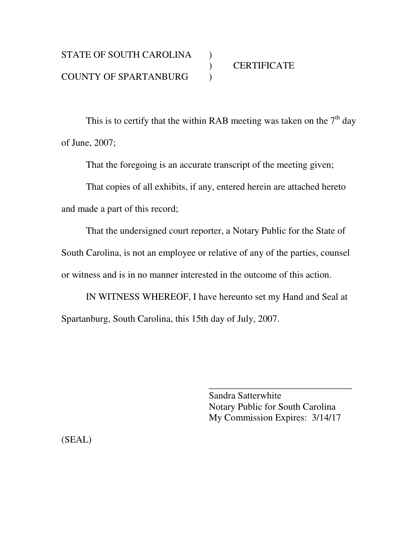This is to certify that the within RAB meeting was taken on the  $7<sup>th</sup>$  day of June, 2007;

That the foregoing is an accurate transcript of the meeting given;

 That copies of all exhibits, if any, entered herein are attached hereto and made a part of this record;

 That the undersigned court reporter, a Notary Public for the State of South Carolina, is not an employee or relative of any of the parties, counsel or witness and is in no manner interested in the outcome of this action.

 IN WITNESS WHEREOF, I have hereunto set my Hand and Seal at Spartanburg, South Carolina, this 15th day of July, 2007.

 $\overline{\phantom{a}}$  , and the contract of the contract of the contract of the contract of the contract of the contract of the contract of the contract of the contract of the contract of the contract of the contract of the contrac

 Sandra Satterwhite Notary Public for South Carolina My Commission Expires: 3/14/17

(SEAL)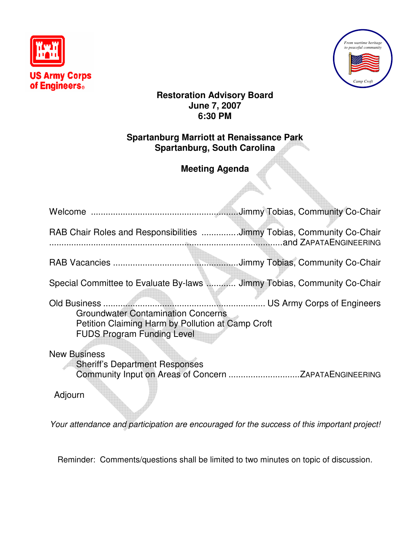



## **Restoration Advisory Board June 7, 2007 6:30 PM**

## **Spartanburg Marriott at Renaissance Park Spartanburg, South Carolina**

# **Meeting Agenda**

| RAB Chair Roles and Responsibilities Jimmy Tobias, Community Co-Chair                                                               |  |
|-------------------------------------------------------------------------------------------------------------------------------------|--|
|                                                                                                                                     |  |
| Special Committee to Evaluate By-laws  Jimmy Tobias, Community Co-Chair                                                             |  |
| <b>Groundwater Contamination Concerns</b><br>Petition Claiming Harm by Pollution at Camp Croft<br><b>FUDS Program Funding Level</b> |  |
| <b>New Business</b><br><b>Sheriff's Department Responses</b>                                                                        |  |

Adjourn

Your attendance and participation are encouraged for the success of this important project!

Reminder: Comments/questions shall be limited to two minutes on topic of discussion.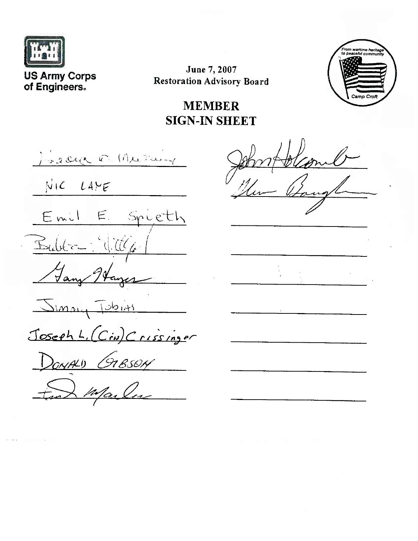

**US Army Corps** of Engineers.

June 7, 2007 **Restoration Advisory Board** 



**MEMBER SIGN-IN SHEET** 

12 deck of Me Harry  $NIC$   $LAYE$ Emil E Spieth Bubba Will Jany  $\sum_{\mu}$  $T$   $d$ Joseph L. (Cin) Crissinger DONALD GRESON Marles